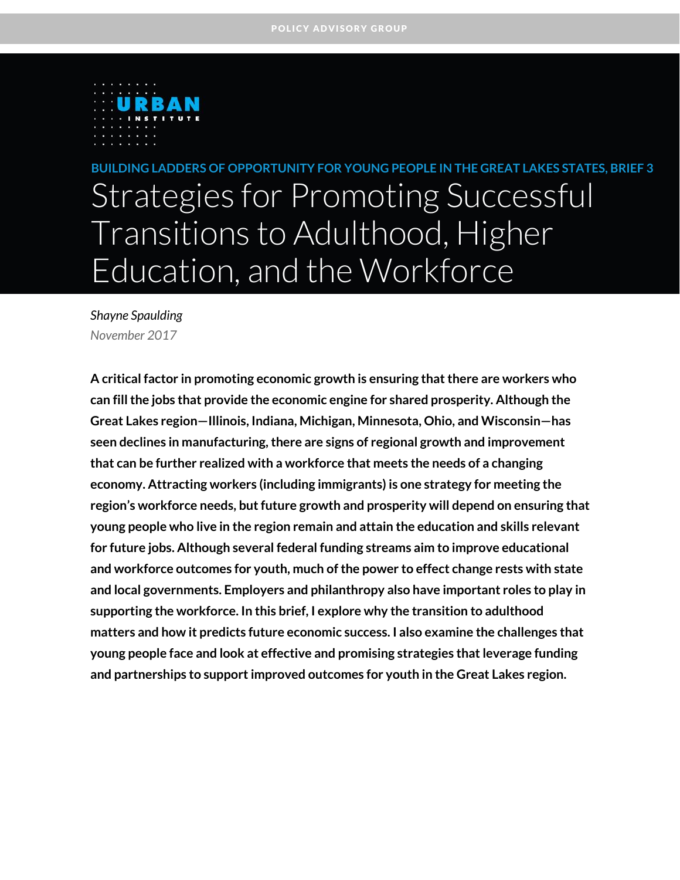

BUILDING LADDERS OF OPPORTUNITY FOR YOUNG PEOPLE IN THE GREAT LAKES STATES, BRIEF 3 Strategies for Promoting Successful Transitions to Adulthood, Higher Education, and the Workforce

*Shayne Spaulding November 2017*

**A critical factor in promoting economic growth is ensuring that there are workers who can fill the jobs that provide the economic engine for shared prosperity. Although the Great Lakes region—Illinois, Indiana, Michigan, Minnesota, Ohio, and Wisconsin—has seen declines in manufacturing, there are signs of regional growth and improvement that can be further realized with a workforce that meets the needs of a changing economy. Attracting workers (including immigrants) is one strategy for meeting the**  region's workforce needs, but future growth and prosperity will depend on ensuring that **young people who live in the region remain and attain the education and skills relevant for future jobs. Although several federal funding streams aim to improve educational and workforce outcomes for youth, much of the power to effect change rests with state and local governments. Employers and philanthropy also have important roles to play in supporting the workforce. In this brief, I explore why the transition to adulthood matters and how it predicts future economic success. I also examine the challenges that young people face and look at effective and promising strategies that leverage funding and partnerships to support improved outcomes for youth in the Great Lakes region.**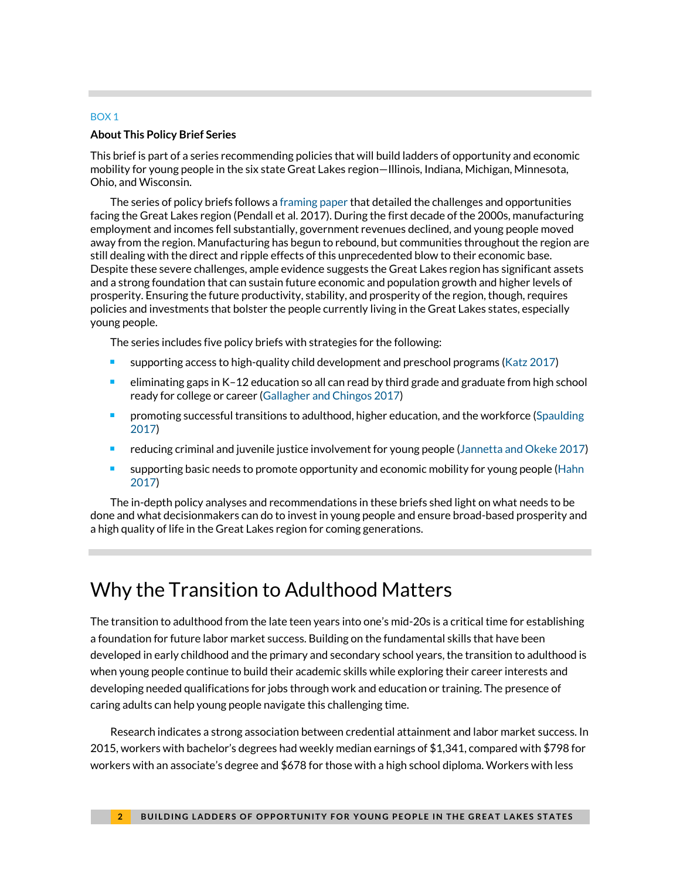#### BOX 1

#### **About This Policy Brief Series**

This brief is part of a series recommending policies that will build ladders of opportunity and economic mobility for young people in the six state Great Lakes region—Illinois, Indiana, Michigan, Minnesota, Ohio, and Wisconsin.

The series of policy briefs follows [a framing paper](https://www.urban.org/research/publication/future-great-lakes-region) that detailed the challenges and opportunities facing the Great Lakes region (Pendall et al. 2017). During the first decade of the 2000s, manufacturing employment and incomes fell substantially, government revenues declined, and young people moved away from the region. Manufacturing has begun to rebound, but communities throughout the region are still dealing with the direct and ripple effects of this unprecedented blow to their economic base. Despite these severe challenges, ample evidence suggests the Great Lakes region has significant assets and a strong foundation that can sustain future economic and population growth and higher levels of prosperity. Ensuring the future productivity, stability, and prosperity of the region, though, requires policies and investments that bolster the people currently living in the Great Lakes states, especially young people.

The series includes five policy briefs with strategies for the following:

- supporting access to high-quality child development and preschool programs [\(Katz 2017\)](https://www.urban.org/research/publication/strategies-supporting-access-high-quality-early-education-programs)
- eliminating gaps in K–12 education so all can read by third grade and graduate from high school ready for college or career [\(Gallagher and Chingos 2017\)](https://www.urban.org/research/publication/strategies-supporting-early-reading-proficiency-close-achievement-gaps)
- promoting successful transitions to adulthood, higher education, and the workforce [\(Spaulding](https://www.urban.org/research/publication/strategies-promoting-successful-transitions-adulthood-higher-education-and-workforce)  [2017\)](https://www.urban.org/research/publication/strategies-promoting-successful-transitions-adulthood-higher-education-and-workforce)
- reducing criminal and juvenile justice involvement for young people [\(Jannetta and Okeke 2017\)](https://www.urban.org/research/publication/strategies-reducing-criminal-and-juvenile-justice-involvement)
- **supporting basic needs to promote opportunity and economic mobility for young people (Hahn**) [2017\)](https://www.urban.org/research/publication/strategies-supporting-basic-needs-promote-opportunity-and-economic-mobility)

The in-depth policy analyses and recommendations in these briefs shed light on what needs to be done and what decisionmakers can do to invest in young people and ensure broad-based prosperity and a high quality of life in the Great Lakes region for coming generations.

## Why the Transition to Adulthood Matters

The transition to adulthood from the late teen years into one's mid-20s is a critical time for establishing a foundation for future labor market success. Building on the fundamental skills that have been developed in early childhood and the primary and secondary school years, the transition to adulthood is when young people continue to build their academic skills while exploring their career interests and developing needed qualifications for jobs through work and education or training. The presence of caring adults can help young people navigate this challenging time.

Research indicates a strong association between credential attainment and labor market success. In 2015, workers with bachelor's degrees had weekly median earnings of \$1,341, compared with \$798 for workers with an associate's degree and \$678 for those with a high school diploma. Workers with less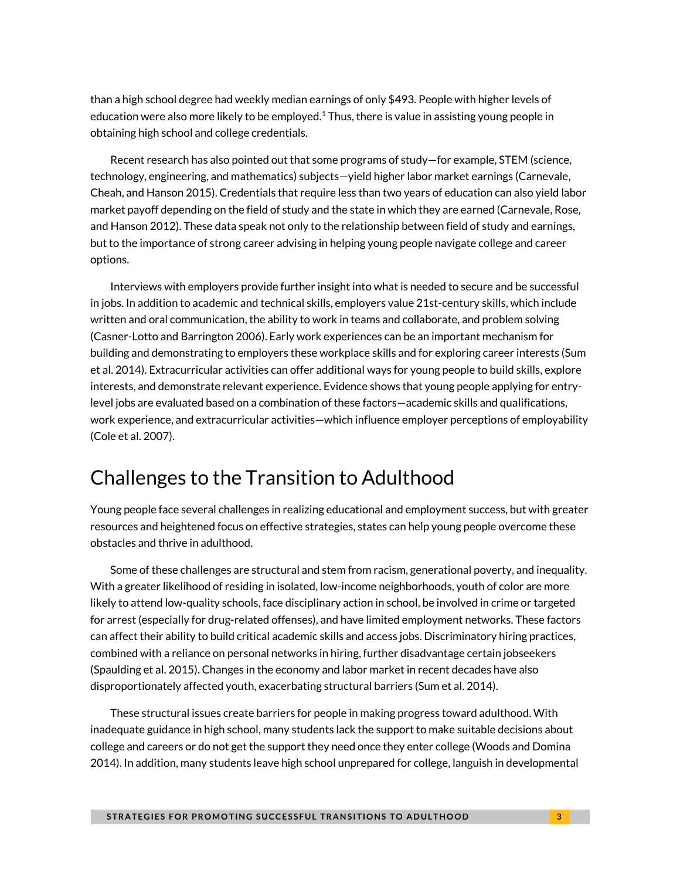than a high school degree had weekly median earnings of only \$493. People with higher levels of education were also more likely to be employed.<sup>1</sup> Thus, there is value in assisting young people in obtaining high school and college credentials.

Recent research has also pointed out that some programs of study—for example, STEM (science, technology, engineering, and mathematics) subjects—yield higher labor market earnings (Carnevale, Cheah, and Hanson 2015). Credentials that require less than two years of education can also yield labor market payoff depending on the field of study and the state in which they are earned (Carnevale, Rose, and Hanson 2012). These data speak not only to the relationship between field of study and earnings, but to the importance of strong career advising in helping young people navigate college and career options.

Interviews with employers provide further insight into what is needed to secure and be successful in jobs. In addition to academic and technical skills, employers value 21st-century skills, which include written and oral communication, the ability to work in teams and collaborate, and problem solving (Casner-Lotto and Barrington 2006). Early work experiences can be an important mechanism for building and demonstrating to employers these workplace skills and for exploring career interests (Sum et al. 2014). Extracurricular activities can offer additional ways for young people to build skills, explore interests, and demonstrate relevant experience. Evidence shows that young people applying for entrylevel jobs are evaluated based on a combination of these factors—academic skills and qualifications, work experience, and extracurricular activities—which influence employer perceptions of employability (Cole et al. 2007).

## Challenges to the Transition to Adulthood

Young people face several challenges in realizing educational and employment success, but with greater resources and heightened focus on effective strategies, states can help young people overcome these obstacles and thrive in adulthood.

Some of these challenges are structural and stem from racism, generational poverty, and inequality. With a greater likelihood of residing in isolated, low-income neighborhoods, youth of color are more likely to attend low-quality schools, face disciplinary action in school, be involved in crime or targeted for arrest (especially for drug-related offenses), and have limited employment networks. These factors can affect their ability to build critical academic skills and access jobs. Discriminatory hiring practices, combined with a reliance on personal networks in hiring, further disadvantage certain jobseekers (Spaulding et al. 2015). Changes in the economy and labor market in recent decades have also disproportionately affected youth, exacerbating structural barriers (Sum et al. 2014).

These structural issues create barriers for people in making progress toward adulthood. With inadequate guidance in high school, many students lack the support to make suitable decisions about college and careers or do not get the support they need once they enter college (Woods and Domina 2014). In addition, many students leave high school unprepared for college, languish in developmental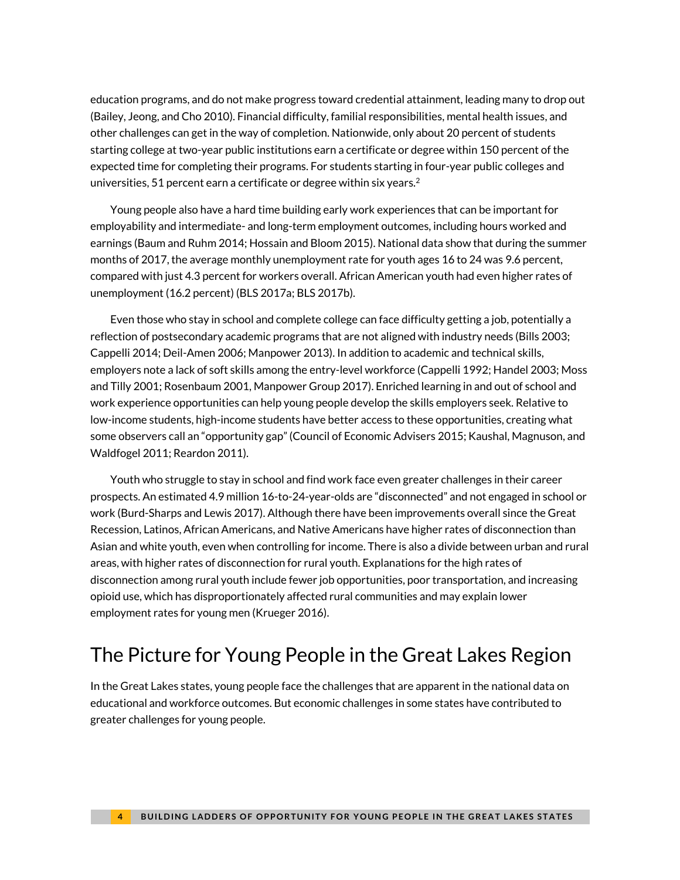education programs, and do not make progress toward credential attainment, leading many to drop out (Bailey, Jeong, and Cho 2010). Financial difficulty, familial responsibilities, mental health issues, and other challenges can get in the way of completion. Nationwide, only about 20 percent of students starting college at two-year public institutions earn a certificate or degree within 150 percent of the expected time for completing their programs. For students starting in four-year public colleges and universities, 51 percent earn a certificate or degree within six years. $^2$ 

Young people also have a hard time building early work experiences that can be important for employability and intermediate- and long-term employment outcomes, including hours worked and earnings (Baum and Ruhm 2014; Hossain and Bloom 2015). National data show that during the summer months of 2017, the average monthly unemployment rate for youth ages 16 to 24 was 9.6 percent, compared with just 4.3 percent for workers overall. African American youth had even higher rates of unemployment (16.2 percent) (BLS 2017a; BLS 2017b).

Even those who stay in school and complete college can face difficulty getting a job, potentially a reflection of postsecondary academic programs that are not aligned with industry needs (Bills 2003; Cappelli 2014; Deil-Amen 2006; Manpower 2013). In addition to academic and technical skills, employers note a lack of soft skills among the entry-level workforce (Cappelli 1992; Handel 2003; Moss and Tilly 2001; Rosenbaum 2001, Manpower Group 2017). Enriched learning in and out of school and work experience opportunities can help young people develop the skills employers seek. Relative to low-income students, high-income students have better access to these opportunities, creating what some observers call an "opportunity gap" (Council of Economic Advisers 2015; Kaushal, Magnuson, and Waldfogel 2011; Reardon 2011).

Youth who struggle to stay in school and find work face even greater challenges in their career prospects. An estimated 4.9 million 16-to-24-year-olds are "disconnected" and not engaged in school or work (Burd-Sharps and Lewis 2017). Although there have been improvements overall since the Great Recession, Latinos, African Americans, and Native Americans have higher rates of disconnection than Asian and white youth, even when controlling for income. There is also a divide between urban and rural areas, with higher rates of disconnection for rural youth. Explanations for the high rates of disconnection among rural youth include fewer job opportunities, poor transportation, and increasing opioid use, which has disproportionately affected rural communities and may explain lower employment rates for young men (Krueger 2016).

## The Picture for Young People in the Great Lakes Region

In the Great Lakes states, young people face the challenges that are apparent in the national data on educational and workforce outcomes. But economic challenges in some states have contributed to greater challenges for young people.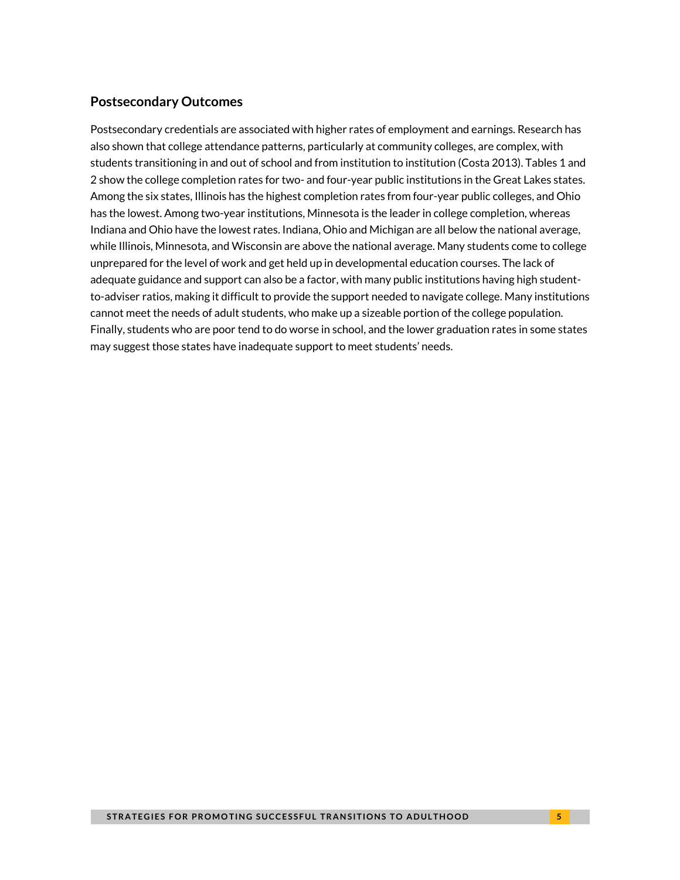### **Postsecondary Outcomes**

Postsecondary credentials are associated with higher rates of employment and earnings. Research has also shown that college attendance patterns, particularly at community colleges, are complex, with students transitioning in and out of school and from institution to institution (Costa 2013). Tables 1 and 2 show the college completion rates for two- and four-year public institutions in the Great Lakes states. Among the six states, Illinois has the highest completion rates from four-year public colleges, and Ohio has the lowest. Among two-year institutions, Minnesota is the leader in college completion, whereas Indiana and Ohio have the lowest rates. Indiana, Ohio and Michigan are all below the national average, while Illinois, Minnesota, and Wisconsin are above the national average. Many students come to college unprepared for the level of work and get held up in developmental education courses. The lack of adequate guidance and support can also be a factor, with many public institutions having high studentto-adviser ratios, making it difficult to provide the support needed to navigate college. Many institutions cannot meet the needs of adult students, who make up a sizeable portion of the college population. Finally, students who are poor tend to do worse in school, and the lower graduation rates in some states may suggest those states have inadequate support to meet students' needs.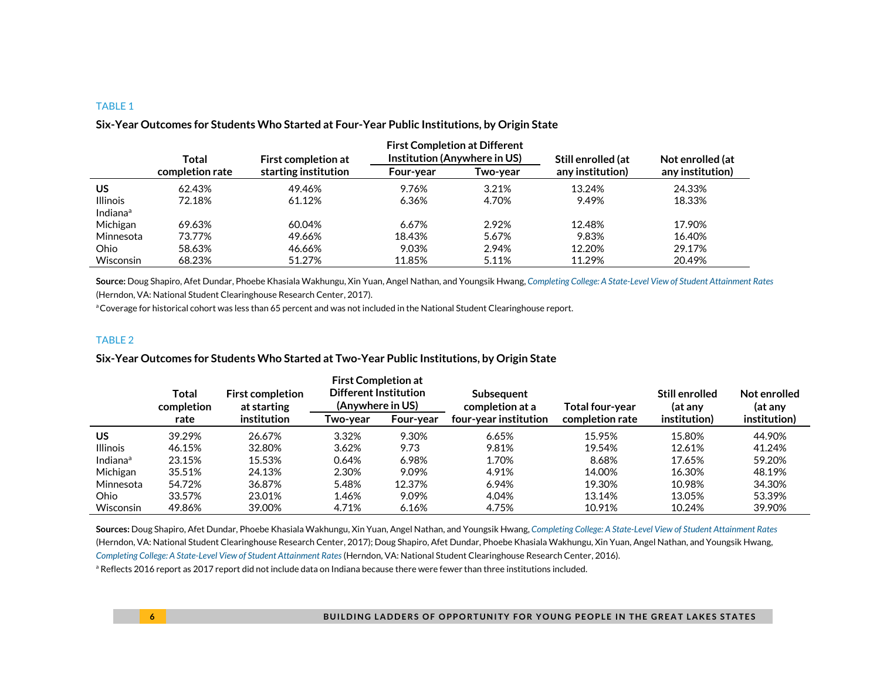|                      | Total           | <b>First completion at</b> | <b>First Completion at Different</b><br>Institution (Anywhere in US) |          | Still enrolled (at | Not enrolled (at |
|----------------------|-----------------|----------------------------|----------------------------------------------------------------------|----------|--------------------|------------------|
|                      | completion rate | starting institution       | Four-year                                                            | Two-vear | any institution)   | any institution) |
| <b>US</b>            | 62.43%          | 49.46%                     | 9.76%                                                                | 3.21%    | 13.24%             | 24.33%           |
| <b>Illinois</b>      | 72.18%          | 61.12%                     | 6.36%                                                                | 4.70%    | 9.49%              | 18.33%           |
| Indiana <sup>a</sup> |                 |                            |                                                                      |          |                    |                  |
| Michigan             | 69.63%          | 60.04%                     | 6.67%                                                                | 2.92%    | 12.48%             | 17.90%           |
| Minnesota            | 73.77%          | 49.66%                     | 18.43%                                                               | 5.67%    | 9.83%              | 16.40%           |
| Ohio                 | 58.63%          | 46.66%                     | 9.03%                                                                | 2.94%    | 12.20%             | 29.17%           |
| Wisconsin            | 68.23%          | 51.27%                     | 11.85%                                                               | 5.11%    | 11.29%             | 20.49%           |

#### **Six-Year Outcomes for Students Who Started at Four-Year Public Institutions, by Origin State**

**Source:** Doug Shapiro, Afet Dundar, Phoebe Khasiala Wakhungu, Xin Yuan, Angel Nathan, and Youngsik Hwang, *[Completing College: A State-Level View of Student Attainment Rates](https://nscresearchcenter.org/signaturereport12-statesupplement/)* (Herndon, VA: National Student Clearinghouse Research Center, 2017).

aCoverage for historical cohort was less than 65 percent and was not included in the National Student Clearinghouse report.

#### TABLE 2

#### **Six-Year Outcomes for Students Who Started at Two-Year Public Institutions, by Origin State**

|                      | Total<br>completion | <b>First completion</b><br>at starting | <b>First Completion at</b><br><b>Different Institution</b><br>(Anywhere in US) |           | <b>Subsequent</b><br>completion at a | Total four-year | Still enrolled<br>(at any | Not enrolled<br>(at any |
|----------------------|---------------------|----------------------------------------|--------------------------------------------------------------------------------|-----------|--------------------------------------|-----------------|---------------------------|-------------------------|
|                      | rate                | institution                            | Two-vear                                                                       | Four-year | four-year institution                | completion rate | institution)              | institution)            |
| <b>US</b>            | 39.29%              | 26.67%                                 | 3.32%                                                                          | 9.30%     | 6.65%                                | 15.95%          | 15.80%                    | 44.90%                  |
| <b>Illinois</b>      | 46.15%              | 32.80%                                 | 3.62%                                                                          | 9.73      | 9.81%                                | 19.54%          | 12.61%                    | 41.24%                  |
| Indiana <sup>a</sup> | 23.15%              | 15.53%                                 | 0.64%                                                                          | 6.98%     | 1.70%                                | 8.68%           | 17.65%                    | 59.20%                  |
| Michigan             | 35.51%              | 24.13%                                 | 2.30%                                                                          | 9.09%     | 4.91%                                | 14.00%          | 16.30%                    | 48.19%                  |
| Minnesota            | 54.72%              | 36.87%                                 | 5.48%                                                                          | 12.37%    | 6.94%                                | 19.30%          | 10.98%                    | 34.30%                  |
| Ohio                 | 33.57%              | 23.01%                                 | 1.46%                                                                          | 9.09%     | 4.04%                                | 13.14%          | 13.05%                    | 53.39%                  |
| Wisconsin            | 49.86%              | 39.00%                                 | 4.71%                                                                          | 6.16%     | 4.75%                                | 10.91%          | 10.24%                    | 39.90%                  |

**Sources:** Doug Shapiro, Afet Dundar, Phoebe Khasiala Wakhungu, Xin Yuan, Angel Nathan, and Youngsik Hwang, *[Completing College: A State-Level View of Student Attainment Rates](https://nscresearchcenter.org/signaturereport12-statesupplement/)* (Herndon, VA: National Student Clearinghouse Research Center, 2017); Doug Shapiro, Afet Dundar, Phoebe Khasiala Wakhungu, Xin Yuan, Angel Nathan, and Youngsik Hwang, *[Completing College: A State-Level View of Student Attainment Rates](https://nscresearchcenter.org/wp-content/uploads/NSC_Signature_Report_10_StateSupp.pdf)* (Herndon, VA: National Student Clearinghouse Research Center, 2016).

a Reflects 2016 report as 2017 report did not include data on Indiana because there were fewer than three institutions included.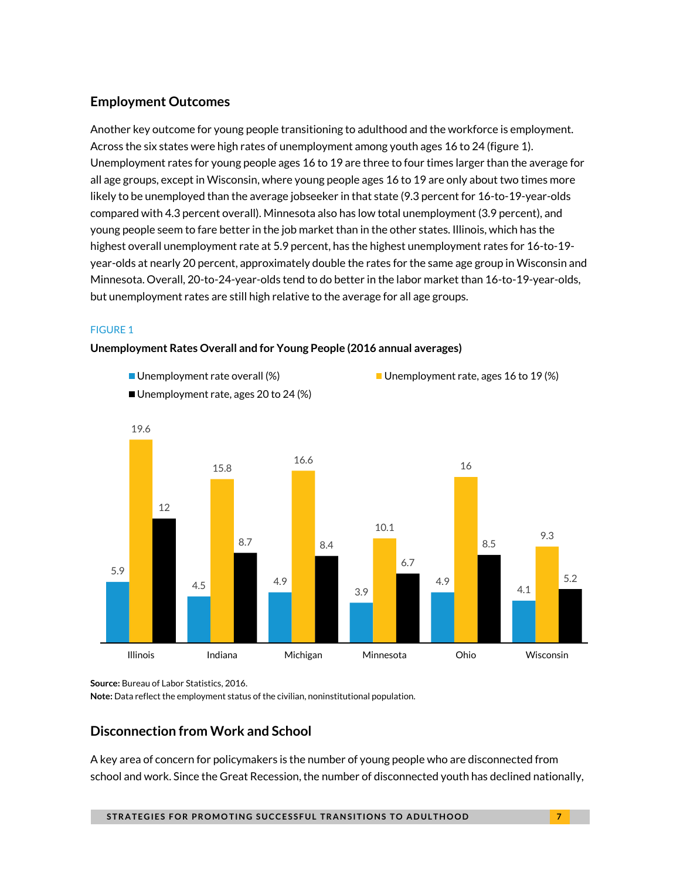## **Employment Outcomes**

Another key outcome for young people transitioning to adulthood and the workforce is employment. Across the six states were high rates of unemployment among youth ages 16 to 24 (figure 1). Unemployment rates for young people ages 16 to 19 are three to four times larger than the average for all age groups, except in Wisconsin, where young people ages 16 to 19 are only about two times more likely to be unemployed than the average jobseeker in that state (9.3 percent for 16-to-19-year-olds compared with 4.3 percent overall). Minnesota also has low total unemployment (3.9 percent), and young people seem to fare better in the job market than in the other states. Illinois, which has the highest overall unemployment rate at 5.9 percent, has the highest unemployment rates for 16-to-19 year-olds at nearly 20 percent, approximately double the rates for the same age group in Wisconsin and Minnesota. Overall, 20-to-24-year-olds tend to do better in the labor market than 16-to-19-year-olds, but unemployment rates are still high relative to the average for all age groups.

### FIGURE 1

#### **Unemployment Rates Overall and for Young People (2016 annual averages)**



**Source:** Bureau of Labor Statistics, 2016.

**Note:** Data reflect the employment status of the civilian, noninstitutional population.

## **Disconnection from Work and School**

A key area of concern for policymakers is the number of young people who are disconnected from school and work. Since the Great Recession, the number of disconnected youth has declined nationally,

**STRATEGIES FOR PROMOTING SUCCESSFUL TRANSITIONS TO ADULTHOOD**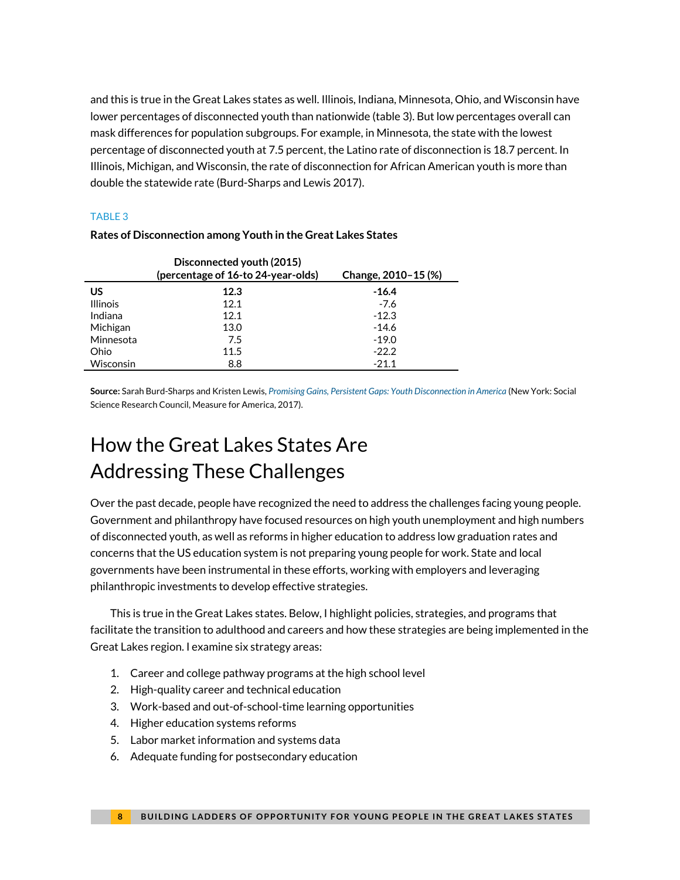and this is true in the Great Lakes states as well. Illinois, Indiana, Minnesota, Ohio, and Wisconsin have lower percentages of disconnected youth than nationwide (table 3). But low percentages overall can mask differences for population subgroups. For example, in Minnesota, the state with the lowest percentage of disconnected youth at 7.5 percent, the Latino rate of disconnection is 18.7 percent. In Illinois, Michigan, and Wisconsin, the rate of disconnection for African American youth is more than double the statewide rate (Burd-Sharps and Lewis 2017).

#### TABLE 3

|                  | Disconnected youth (2015)<br>(percentage of 16-to 24-year-olds) | Change, 2010-15 (%) |
|------------------|-----------------------------------------------------------------|---------------------|
| บร               | 12.3                                                            | -16.4               |
| <b>Illinois</b>  | 12.1                                                            | $-7.6$              |
| Indiana          | 12.1                                                            | $-12.3$             |
| Michigan         | 13.0                                                            | $-14.6$             |
| Minnesota        | 7.5                                                             | $-19.0$             |
| Ohio             | 11.5                                                            | $-22.2$             |
| <b>Wisconsin</b> | 8.8                                                             | $-21.1$             |

#### **Rates of Disconnection among Youth in the Great Lakes States**

**Source:** Sarah Burd-Sharps and Kristen Lewis, *[Promising Gains, Persistent Gaps: Youth Disconnection in America](https://ssrc-static.s3.amazonaws.com/moa/Promising%20Gains%20Final.pdf)* (New York: Social Science Research Council, Measure for America, 2017).

# How the Great Lakes States Are Addressing These Challenges

Over the past decade, people have recognized the need to address the challenges facing young people. Government and philanthropy have focused resources on high youth unemployment and high numbers of disconnected youth, as well as reforms in higher education to address low graduation rates and concerns that the US education system is not preparing young people for work. State and local governments have been instrumental in these efforts, working with employers and leveraging philanthropic investments to develop effective strategies.

This is true in the Great Lakes states. Below, I highlight policies, strategies, and programs that facilitate the transition to adulthood and careers and how these strategies are being implemented in the Great Lakes region. I examine six strategy areas:

- 1. Career and college pathway programs at the high school level
- 2. High-quality career and technical education
- 3. Work-based and out-of-school-time learning opportunities
- 4. Higher education systems reforms
- 5. Labor market information and systems data
- 6. Adequate funding for postsecondary education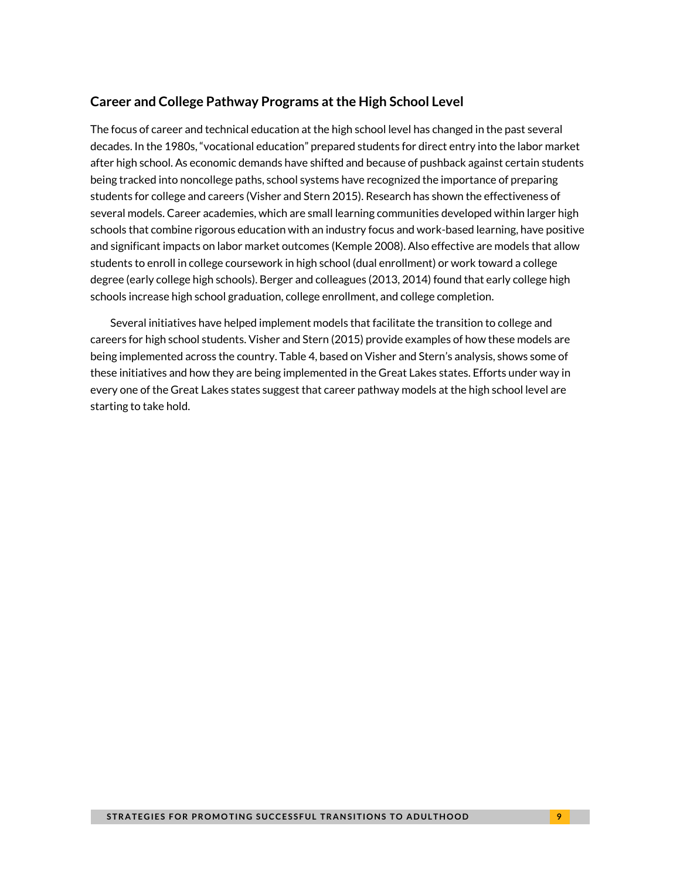## **Career and College Pathway Programs at the High School Level**

The focus of career and technical education at the high school level has changed in the past several decades. In the 1980s, "vocational education" prepared students for direct entry into the labor market after high school. As economic demands have shifted and because of pushback against certain students being tracked into noncollege paths, school systems have recognized the importance of preparing students for college and careers (Visher and Stern 2015). Research has shown the effectiveness of several models. Career academies, which are small learning communities developed within larger high schools that combine rigorous education with an industry focus and work-based learning, have positive and significant impacts on labor market outcomes (Kemple 2008). Also effective are models that allow students to enroll in college coursework in high school (dual enrollment) or work toward a college degree (early college high schools). Berger and colleagues (2013, 2014) found that early college high schools increase high school graduation, college enrollment, and college completion.

Several initiatives have helped implement models that facilitate the transition to college and careers for high school students. Visher and Stern (2015) provide examples of how these models are being implemented across the country. Table 4, based on Visher and Stern's analysis, shows some of these initiatives and how they are being implemented in the Great Lakes states. Efforts under way in every one of the Great Lakes states suggest that career pathway models at the high school level are starting to take hold.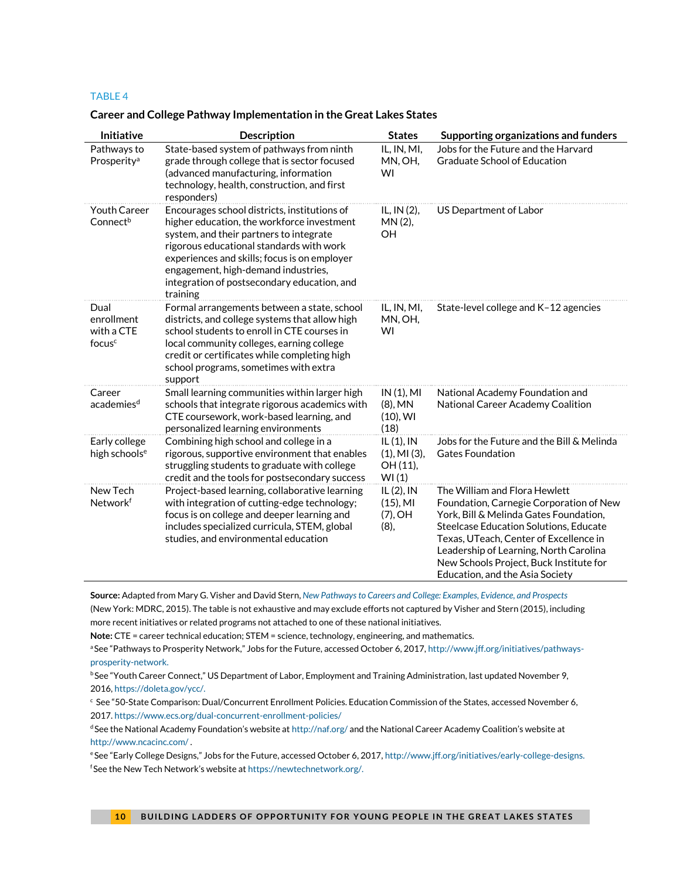#### **Career and College Pathway Implementation in the Great Lakes States**

| Initiative                                             | <b>Description</b>                                                                                                                                                                                                                                                                                                                  | <b>States</b>                                           | Supporting organizations and funders                                                                                                                                                                                                                                                                                           |
|--------------------------------------------------------|-------------------------------------------------------------------------------------------------------------------------------------------------------------------------------------------------------------------------------------------------------------------------------------------------------------------------------------|---------------------------------------------------------|--------------------------------------------------------------------------------------------------------------------------------------------------------------------------------------------------------------------------------------------------------------------------------------------------------------------------------|
| Pathways to<br>Prosperity <sup>a</sup>                 | State-based system of pathways from ninth<br>grade through college that is sector focused<br>(advanced manufacturing, information<br>technology, health, construction, and first<br>responders)                                                                                                                                     | IL, IN, MI,<br>MN, OH,<br>WI                            | Jobs for the Future and the Harvard<br><b>Graduate School of Education</b>                                                                                                                                                                                                                                                     |
| <b>Youth Career</b><br>Connect <sup>b</sup>            | Encourages school districts, institutions of<br>higher education, the workforce investment<br>system, and their partners to integrate<br>rigorous educational standards with work<br>experiences and skills; focus is on employer<br>engagement, high-demand industries,<br>integration of postsecondary education, and<br>training | IL, IN (2),<br>MN(2),<br><b>OH</b>                      | US Department of Labor                                                                                                                                                                                                                                                                                                         |
| Dual<br>enrollment<br>with a CTE<br>focus <sup>c</sup> | Formal arrangements between a state, school<br>districts, and college systems that allow high<br>school students to enroll in CTE courses in<br>local community colleges, earning college<br>credit or certificates while completing high<br>school programs, sometimes with extra<br>support                                       | IL, IN, MI,<br>MN, OH,<br>WI                            | State-level college and K-12 agencies                                                                                                                                                                                                                                                                                          |
| Career<br>academies <sup>d</sup>                       | Small learning communities within larger high<br>schools that integrate rigorous academics with<br>CTE coursework, work-based learning, and<br>personalized learning environments                                                                                                                                                   | IN(1), MI<br>$(8)$ , MN<br>$(10)$ , WI<br>(18)          | National Academy Foundation and<br>National Career Academy Coalition                                                                                                                                                                                                                                                           |
| Early college<br>high schools <sup>e</sup>             | Combining high school and college in a<br>rigorous, supportive environment that enables<br>struggling students to graduate with college<br>credit and the tools for postsecondary success                                                                                                                                           | $IL(1)$ , IN<br>$(1)$ , MI $(3)$ ,<br>OH (11),<br>WI(1) | Jobs for the Future and the Bill & Melinda<br><b>Gates Foundation</b>                                                                                                                                                                                                                                                          |
| New Tech<br>Networkf                                   | Project-based learning, collaborative learning<br>with integration of cutting-edge technology;<br>focus is on college and deeper learning and<br>includes specialized curricula, STEM, global<br>studies, and environmental education                                                                                               | IL $(2)$ , IN<br>$(15)$ , MI<br>$(7)$ , OH<br>(8),      | The William and Flora Hewlett<br>Foundation, Carnegie Corporation of New<br>York, Bill & Melinda Gates Foundation,<br>Steelcase Education Solutions, Educate<br>Texas, UTeach, Center of Excellence in<br>Leadership of Learning, North Carolina<br>New Schools Project, Buck Institute for<br>Education, and the Asia Society |

**Source:** Adapted from Mary G. Visher and David Stern, *[New Pathways to Careers and College: Examples, Evidence, and Prospects](https://www.mdrc.org/sites/default/files/New_Pathways.pdf)* (New York: MDRC, 2015). The table is not exhaustive and may exclude efforts not captured by Visher and Stern (2015), including more recent initiatives or related programs not attached to one of these national initiatives.

**Note:** CTE = career technical education; STEM = science, technology, engineering, and mathematics.

a See "Pathways to Prosperity Network," Jobs for the Future, accessed October 6, 2017, [http://www.jff.org/initiatives/pathways](http://www.jff.org/initiatives/pathways-prosperity-network)[prosperity-network.](http://www.jff.org/initiatives/pathways-prosperity-network)

<sup>b</sup>See "Youth Career Connect," US Department of Labor, Employment and Training Administration, last updated November 9, 2016[, https://doleta.gov/ycc/.](https://doleta.gov/ycc/)

 $\cdot$  See "50-State Comparison: Dual/Concurrent Enrollment Policies. Education Commission of the States, accessed November 6, 2017[. https://www.ecs.org/dual-concurrent-enrollment-policies/](https://www.ecs.org/dual-concurrent-enrollment-policies/) 

d See the National Academy Foundation's website at <http://naf.org/> and the National Career Academy Coalition's website at <http://www.ncacinc.com/> .

eSee "Early College Designs," Jobs for the Future, accessed October 6, 2017, [http://www.jff.org/initiatives/early-college-designs.](http://www.jff.org/initiatives/early-college-designs) f See the New Tech Network's website at [https://newtechnetwork.org/.](https://newtechnetwork.org/)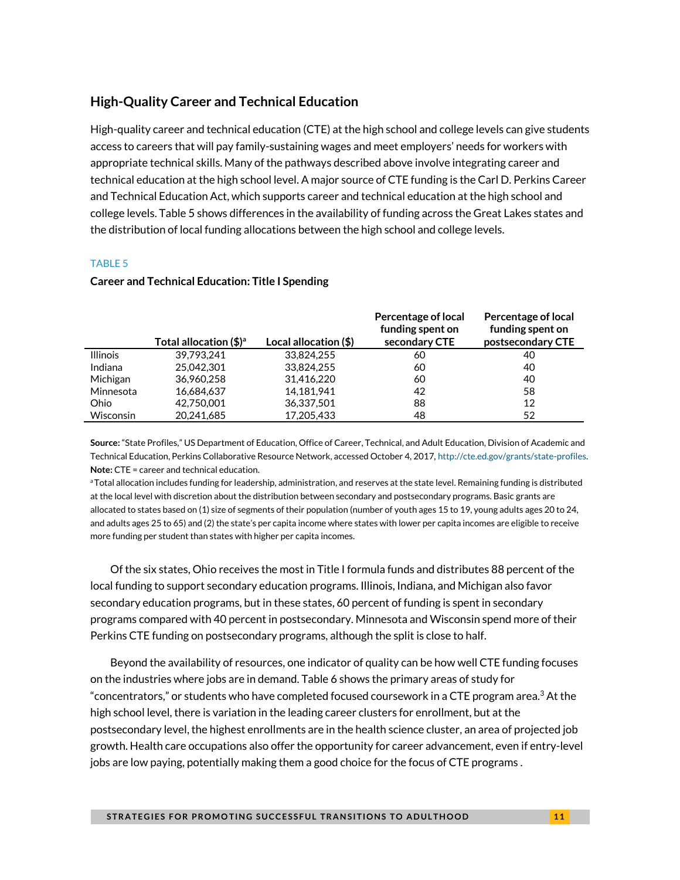### **High-Quality Career and Technical Education**

High-quality career and technical education (CTE) at the high school and college levels can give students access to careers that will pay family-sustaining wages and meet employers' needs for workers with appropriate technical skills. Many of the pathways described above involve integrating career and technical education at the high school level. A major source of CTE funding is the Carl D. Perkins Career and Technical Education Act, which supports career and technical education at the high school and college levels. Table 5 shows differences in the availability of funding across the Great Lakes states and the distribution of local funding allocations between the high school and college levels.

#### TABLE 5

| <b>Career and Technical Education: Title I Spending</b> |  |
|---------------------------------------------------------|--|
|---------------------------------------------------------|--|

|                 | Total allocation $(\frac{4}{3})^a$ | Local allocation (\$) | Percentage of local<br>funding spent on<br>secondary CTE | Percentage of local<br>funding spent on<br>postsecondary CTE |
|-----------------|------------------------------------|-----------------------|----------------------------------------------------------|--------------------------------------------------------------|
| <b>Illinois</b> | 39.793.241                         | 33.824.255            | 60                                                       | 40                                                           |
| Indiana         | 25.042.301                         | 33,824,255            | 60                                                       | 40                                                           |
| Michigan        | 36.960.258                         | 31.416.220            | 60                                                       | 40                                                           |
| Minnesota       | 16.684.637                         | 14.181.941            | 42                                                       | 58                                                           |
| Ohio            | 42.750.001                         | 36,337,501            | 88                                                       | 12                                                           |
| Wisconsin       | 20.241.685                         | 17.205.433            | 48                                                       | 52                                                           |

**Source:** "State Profiles," US Department of Education, Office of Career, Technical, and Adult Education, Division of Academic and Technical Education, Perkins Collaborative Resource Network, accessed October 4, 2017[, http://cte.ed.gov/grants/state-profiles.](http://cte.ed.gov/grants/state-profiles)  **Note:** CTE = career and technical education.

aTotal allocation includes funding for leadership, administration, and reserves at the state level. Remaining funding is distributed at the local level with discretion about the distribution between secondary and postsecondary programs. Basic grants are allocated to states based on (1) size of segments of their population (number of youth ages 15 to 19, young adults ages 20 to 24, and adults ages 25 to 65) and (2) the state's per capita income where states with lower per capita incomes are eligible to receive more funding per student than states with higher per capita incomes.

Of the six states, Ohio receives the most in Title I formula funds and distributes 88 percent of the local funding to support secondary education programs. Illinois, Indiana, and Michigan also favor secondary education programs, but in these states, 60 percent of funding is spent in secondary programs compared with 40 percent in postsecondary. Minnesota and Wisconsin spend more of their Perkins CTE funding on postsecondary programs, although the split is close to half.

Beyond the availability of resources, one indicator of quality can be how well CTE funding focuses on the industries where jobs are in demand. Table 6 shows the primary areas of study for "concentrators," or students who have completed focused coursework in a CTE program area.<sup>3</sup> At the high school level, there is variation in the leading career clusters for enrollment, but at the postsecondary level, the highest enrollments are in the health science cluster, an area of projected job growth. Health care occupations also offer the opportunity for career advancement, even if entry-level jobs are low paying, potentially making them a good choice for the focus of CTE programs .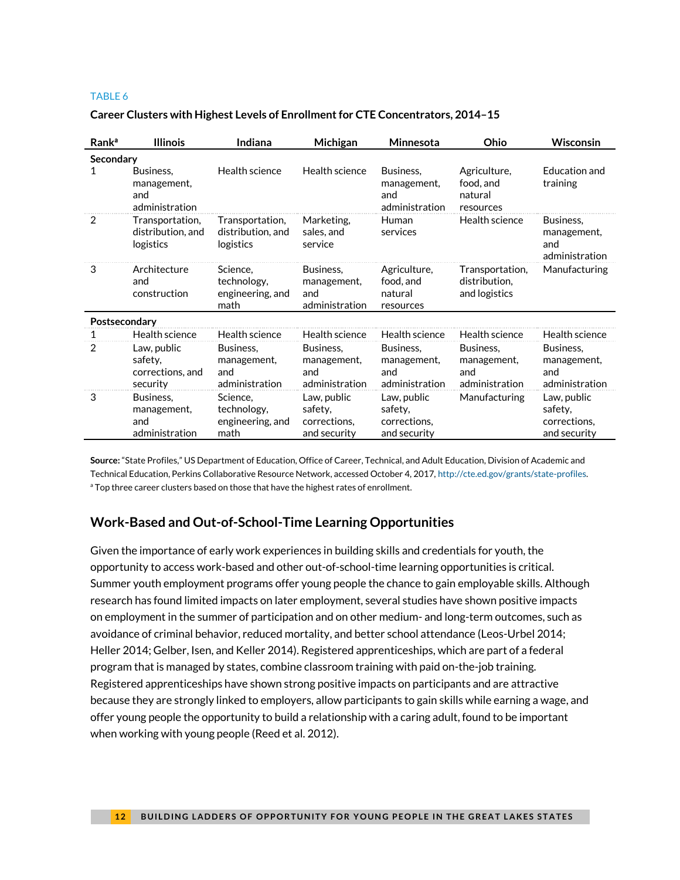|  |  |  |  |  | Career Clusters with Highest Levels of Enrollment for CTE Concentrators, 2014-15 |
|--|--|--|--|--|----------------------------------------------------------------------------------|
|--|--|--|--|--|----------------------------------------------------------------------------------|

| <b>Rank</b> <sup>a</sup> | <b>Illinois</b>                                        | Indiana                                             | Michigan                                               | Minnesota                                              | Ohio                                              | <b>Wisconsin</b>                                       |
|--------------------------|--------------------------------------------------------|-----------------------------------------------------|--------------------------------------------------------|--------------------------------------------------------|---------------------------------------------------|--------------------------------------------------------|
| Secondary                |                                                        |                                                     |                                                        |                                                        |                                                   |                                                        |
| 1                        | Business.<br>management,<br>and<br>administration      | Health science                                      | Health science                                         | Business.<br>management,<br>and<br>administration      | Agriculture,<br>food, and<br>natural<br>resources | Education and<br>training                              |
| 2                        | Transportation,<br>distribution, and<br>logistics      | Transportation,<br>distribution, and<br>logistics   | Marketing,<br>sales, and<br>service                    | Human<br>services                                      | Health science                                    | Business,<br>management,<br>and<br>administration      |
| 3                        | Architecture<br>and<br>construction                    | Science.<br>technology,<br>engineering, and<br>math | Business.<br>management,<br>and<br>administration      | Agriculture,<br>food, and<br>natural<br>resources      | Transportation,<br>distribution,<br>and logistics | Manufacturing                                          |
| Postsecondary            |                                                        |                                                     |                                                        |                                                        |                                                   |                                                        |
|                          | Health science                                         | Health science                                      | Health science                                         | Health science                                         | Health science                                    | Health science                                         |
| 2                        | Law, public<br>safety,<br>corrections, and<br>security | Business,<br>management,<br>and<br>administration   | Business,<br>management,<br>and<br>administration      | Business,<br>management,<br>and<br>administration      | Business,<br>management,<br>and<br>administration | Business,<br>management,<br>and<br>administration      |
| 3                        | Business,<br>management,<br>and<br>administration      | Science,<br>technology,<br>engineering, and<br>math | Law, public<br>safety,<br>corrections,<br>and security | Law, public<br>safety,<br>corrections,<br>and security | Manufacturing                                     | Law, public<br>safety,<br>corrections,<br>and security |

**Source:** "State Profiles," US Department of Education, Office of Career, Technical, and Adult Education, Division of Academic and Technical Education, Perkins Collaborative Resource Network, accessed October 4, 2017[, http://cte.ed.gov/grants/state-profiles.](http://cte.ed.gov/grants/state-profiles) <sup>a</sup> Top three career clusters based on those that have the highest rates of enrollment.

## **Work-Based and Out-of-School-Time Learning Opportunities**

Given the importance of early work experiences in building skills and credentials for youth, the opportunity to access work-based and other out-of-school-time learning opportunities is critical. Summer youth employment programs offer young people the chance to gain employable skills. Although research has found limited impacts on later employment, several studies have shown positive impacts on employment in the summer of participation and on other medium- and long-term outcomes, such as avoidance of criminal behavior, reduced mortality, and better school attendance (Leos-Urbel 2014; Heller 2014; Gelber, Isen, and Keller 2014). Registered apprenticeships, which are part of a federal program that is managed by states, combine classroom training with paid on-the-job training. Registered apprenticeships have shown strong positive impacts on participants and are attractive because they are strongly linked to employers, allow participants to gain skills while earning a wage, and offer young people the opportunity to build a relationship with a caring adult, found to be important when working with young people (Reed et al. 2012).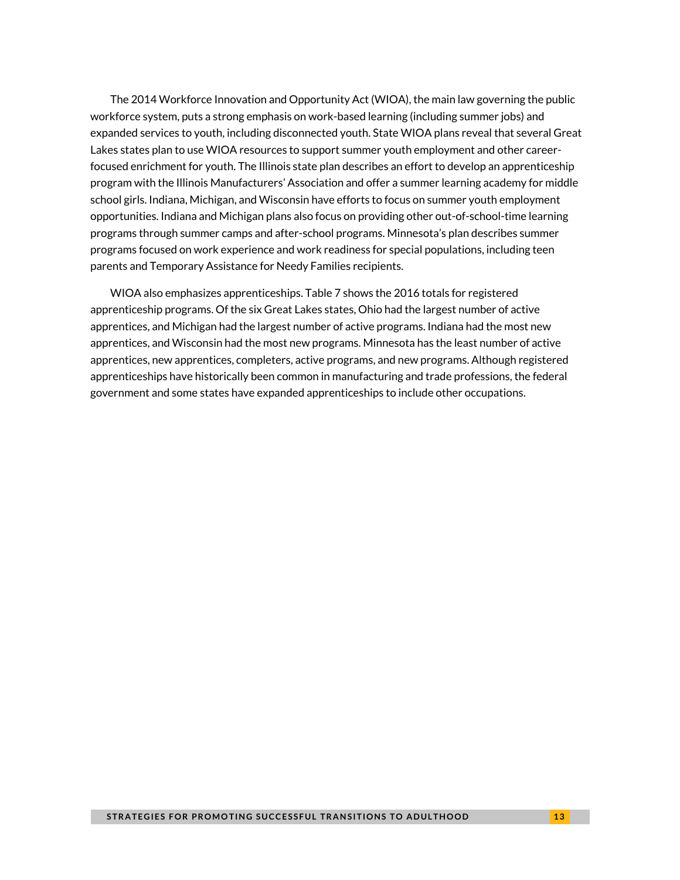The 2014 Workforce Innovation and Opportunity Act (WIOA), the main law governing the public workforce system, puts a strong emphasis on work-based learning (including summer jobs) and expanded services to youth, including disconnected youth. State WIOA plans reveal that several Great Lakes states plan to use WIOA resources to support summer youth employment and other careerfocused enrichment for youth. The Illinois state plan describes an effort to develop an apprenticeship program with the Illinois Manufacturers' Association and offer a summer learning academy for middle school girls. Indiana, Michigan, and Wisconsin have efforts to focus on summer youth employment opportunities. Indiana and Michigan plans also focus on providing other out-of-school-time learning programs through summer camps and after-school programs. Minnesota's plan describes summer programs focused on work experience and work readiness for special populations, including teen parents and Temporary Assistance for Needy Families recipients.

WIOA also emphasizes apprenticeships. Table 7 shows the 2016 totals for registered apprenticeship programs. Of the six Great Lakes states, Ohio had the largest number of active apprentices, and Michigan had the largest number of active programs. Indiana had the most new apprentices, and Wisconsin had the most new programs. Minnesota has the least number of active apprentices, new apprentices, completers, active programs, and new programs. Although registered apprenticeships have historically been common in manufacturing and trade professions, the federal government and some states have expanded apprenticeships to include other occupations.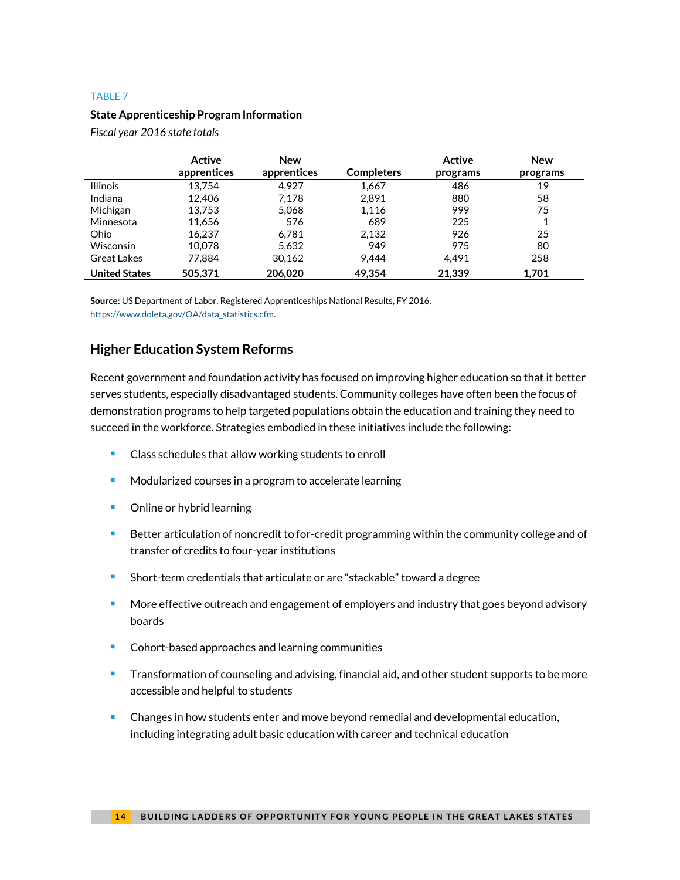#### **State Apprenticeship Program Information**

*Fiscal year 2016 state totals*

|                      | Active      | <b>New</b>  |                   | Active   | <b>New</b> |
|----------------------|-------------|-------------|-------------------|----------|------------|
|                      | apprentices | apprentices | <b>Completers</b> | programs | programs   |
| <b>Illinois</b>      | 13.754      | 4.927       | 1,667             | 486      | 19         |
| Indiana              | 12,406      | 7,178       | 2.891             | 880      | 58         |
| Michigan             | 13.753      | 5,068       | 1,116             | 999      | 75         |
| Minnesota            | 11,656      | 576         | 689               | 225      |            |
| Ohio                 | 16.237      | 6.781       | 2,132             | 926      | 25         |
| <b>Wisconsin</b>     | 10.078      | 5,632       | 949               | 975      | 80         |
| Great Lakes          | 77.884      | 30.162      | 9.444             | 4.491    | 258        |
| <b>United States</b> | 505,371     | 206,020     | 49.354            | 21,339   | 1,701      |

**Source:** US Department of Labor, Registered Apprenticeships National Results, FY 2016, [https://www.doleta.gov/OA/data\\_statistics.cfm.](https://www.doleta.gov/OA/data_statistics.cfm)

### **Higher Education System Reforms**

Recent government and foundation activity has focused on improving higher education so that it better serves students, especially disadvantaged students. Community colleges have often been the focus of demonstration programs to help targeted populations obtain the education and training they need to succeed in the workforce. Strategies embodied in these initiatives include the following:

- Class schedules that allow working students to enroll
- **Modularized courses in a program to accelerate learning**
- **•** Online or hybrid learning
- **Better articulation of noncredit to for-credit programming within the community college and of** transfer of credits to four-year institutions
- Short-term credentials that articulate or are "stackable" toward a degree
- More effective outreach and engagement of employers and industry that goes beyond advisory boards
- Cohort-based approaches and learning communities
- **Transformation of counseling and advising, financial aid, and other student supports to be more** accessible and helpful to students
- **Changes in how students enter and move beyond remedial and developmental education,** including integrating adult basic education with career and technical education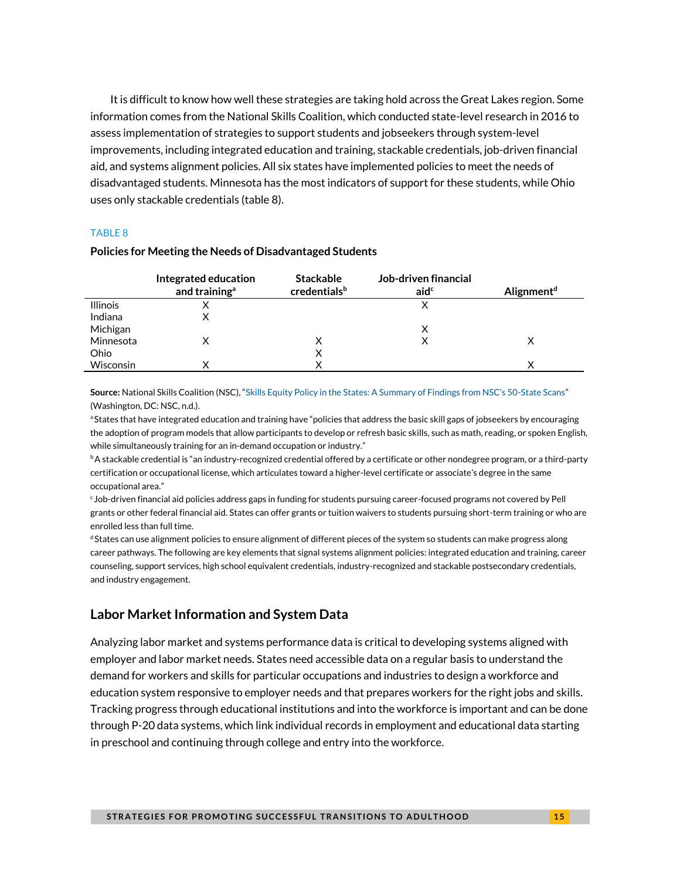It is difficult to know how well these strategies are taking hold across the Great Lakes region. Some information comes from the National Skills Coalition, which conducted state-level research in 2016 to assess implementation of strategies to support students and jobseekers through system-level improvements, including integrated education and training, stackable credentials, job-driven financial aid, and systems alignment policies. All six states have implemented policies to meet the needs of disadvantaged students. Minnesota has the most indicators of support for these students, while Ohio uses only stackable credentials (table 8).

#### TABLE 8

|                 | Integrated education<br>and training <sup>a</sup> | <b>Stackable</b><br>credentialsb | Job-driven financial<br>aid <sup>c</sup> | Alignment <sup>d</sup> |
|-----------------|---------------------------------------------------|----------------------------------|------------------------------------------|------------------------|
| <b>Illinois</b> |                                                   |                                  |                                          |                        |
| Indiana         |                                                   |                                  |                                          |                        |
| Michigan        |                                                   |                                  | x                                        |                        |
| Minnesota       |                                                   | x                                |                                          |                        |
| Ohio            |                                                   | ⋏                                |                                          |                        |
| Wisconsin       | v                                                 |                                  |                                          |                        |

#### **Policies for Meeting the Needs of Disadvantaged Students**

**Source:** National Skills Coalition (NSC), ["Skills Equity Policy in the States: A Summary of Findings from NSC's 50](https://www.nationalskillscoalition.org/resources/publications/file/Scan-Summary-Final.pdf)-State Scans" (Washington, DC: NSC, n.d.).

<sup>a</sup> States that have integrated education and training have "policies that address the basic skill gaps of jobseekers by encouraging the adoption of program models that allow participants to develop or refresh basic skills, such as math, reading, or spoken English, while simultaneously training for an in-demand occupation or industry."

bA stackable credential is "an industry-recognized credential offered by a certificate or other nondegree program, or a third-party certification or occupational license, which articulates toward a higher-level certificate or associate's degree in the same occupational area."

 $c_J$ ob-driven financial aid policies address gaps in funding for students pursuing career-focused programs not covered by Pell grants or other federal financial aid. States can offer grants or tuition waivers to students pursuing short-term training or who are enrolled less than full time.

<sup>d</sup> States can use alignment policies to ensure alignment of different pieces of the system so students can make progress along career pathways. The following are key elements that signal systems alignment policies: integrated education and training, career counseling, support services, high school equivalent credentials, industry-recognized and stackable postsecondary credentials, and industry engagement.

#### **Labor Market Information and System Data**

Analyzing labor market and systems performance data is critical to developing systems aligned with employer and labor market needs. States need accessible data on a regular basis to understand the demand for workers and skills for particular occupations and industries to design a workforce and education system responsive to employer needs and that prepares workers for the right jobs and skills. Tracking progress through educational institutions and into the workforce is important and can be done through P-20 data systems, which link individual records in employment and educational data starting in preschool and continuing through college and entry into the workforce.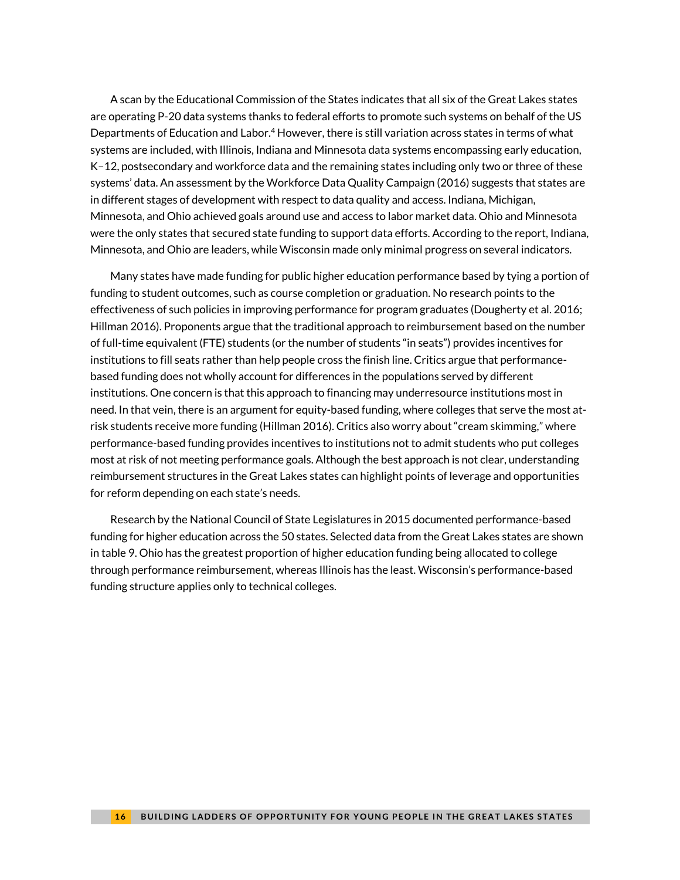A scan by the Educational Commission of the States indicates that all six of the Great Lakes states are operating P-20 data systems thanks to federal efforts to promote such systems on behalf of the US Departments of Education and Labor.<sup>4</sup> However, there is still variation across states in terms of what systems are included, with Illinois, Indiana and Minnesota data systems encompassing early education, K–12, postsecondary and workforce data and the remaining states including only two or three of these systems' data. An assessment by the Workforce Data Quality Campaign (2016) suggests that states are in different stages of development with respect to data quality and access. Indiana, Michigan, Minnesota, and Ohio achieved goals around use and access to labor market data. Ohio and Minnesota were the only states that secured state funding to support data efforts. According to the report, Indiana, Minnesota, and Ohio are leaders, while Wisconsin made only minimal progress on several indicators.

Many states have made funding for public higher education performance based by tying a portion of funding to student outcomes, such as course completion or graduation. No research points to the effectiveness of such policies in improving performance for program graduates (Dougherty et al. 2016; Hillman 2016). Proponents argue that the traditional approach to reimbursement based on the number of full-time equivalent (FTE) students (or the number of students "in seats") provides incentives for institutions to fill seats rather than help people cross the finish line. Critics argue that performancebased funding does not wholly account for differences in the populations served by different institutions. One concern is that this approach to financing may underresource institutions most in need. In that vein, there is an argument for equity-based funding, where colleges that serve the most atrisk students receive more funding (Hillman 2016). Critics also worry about "cream skimming," where performance-based funding provides incentives to institutions not to admit students who put colleges most at risk of not meeting performance goals. Although the best approach is not clear, understanding reimbursement structures in the Great Lakes states can highlight points of leverage and opportunities for reform depending on each state's needs.

Research by the National Council of State Legislatures in 2015 documented performance-based funding for higher education across the 50 states. Selected data from the Great Lakes states are shown in table 9. Ohio has the greatest proportion of higher education funding being allocated to college through performance reimbursement, whereas Illinois has the least. Wisconsin's performance-based funding structure applies only to technical colleges.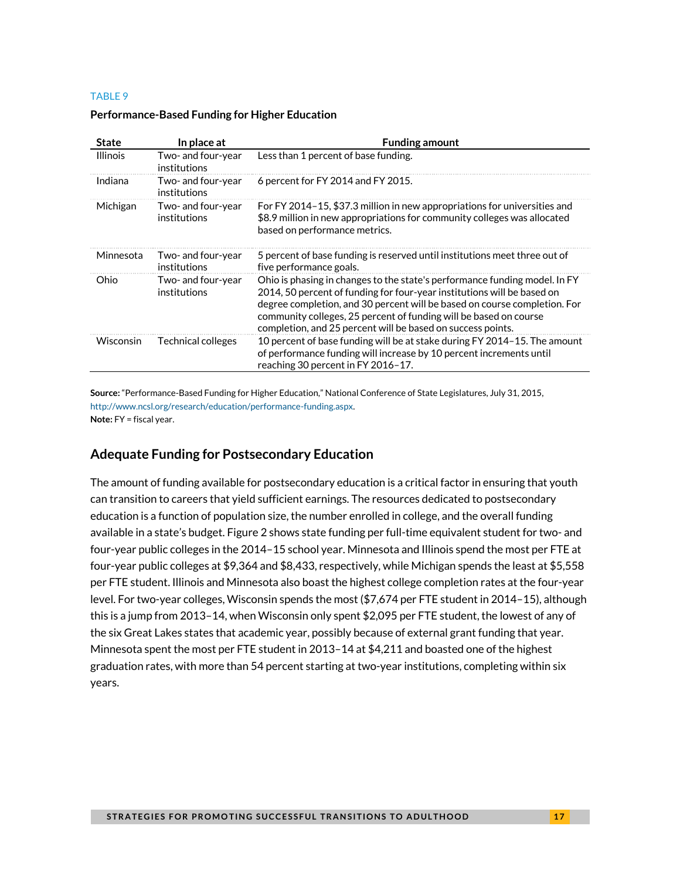| <b>State</b>    | In place at                        | <b>Funding amount</b>                                                                                                                                                                                                                                                                                                                                                  |
|-----------------|------------------------------------|------------------------------------------------------------------------------------------------------------------------------------------------------------------------------------------------------------------------------------------------------------------------------------------------------------------------------------------------------------------------|
| <b>Illinois</b> | Two- and four-year<br>institutions | Less than 1 percent of base funding.                                                                                                                                                                                                                                                                                                                                   |
| Indiana         | Two- and four-year<br>institutions | 6 percent for FY 2014 and FY 2015.                                                                                                                                                                                                                                                                                                                                     |
| Michigan        | Two- and four-year<br>institutions | For FY 2014-15, \$37.3 million in new appropriations for universities and<br>\$8.9 million in new appropriations for community colleges was allocated<br>based on performance metrics.                                                                                                                                                                                 |
| Minnesota       | Two- and four-year<br>institutions | 5 percent of base funding is reserved until institutions meet three out of<br>five performance goals.                                                                                                                                                                                                                                                                  |
| Ohio            | Two- and four-year<br>institutions | Ohio is phasing in changes to the state's performance funding model. In FY<br>2014, 50 percent of funding for four-year institutions will be based on<br>degree completion, and 30 percent will be based on course completion. For<br>community colleges, 25 percent of funding will be based on course<br>completion, and 25 percent will be based on success points. |
| Wisconsin       | Technical colleges                 | 10 percent of base funding will be at stake during FY 2014-15. The amount<br>of performance funding will increase by 10 percent increments until<br>reaching 30 percent in FY 2016-17.                                                                                                                                                                                 |

#### **Performance-Based Funding for Higher Education**

**Source:** "Performance-Based Funding for Higher Education," National Conference of State Legislatures, July 31, 2015, [http://www.ncsl.org/research/education/performance-funding.aspx.](http://www.ncsl.org/research/education/performance-funding.aspx) 

**Note:** FY = fiscal year.

### **Adequate Funding for Postsecondary Education**

The amount of funding available for postsecondary education is a critical factor in ensuring that youth can transition to careers that yield sufficient earnings. The resources dedicated to postsecondary education is a function of population size, the number enrolled in college, and the overall funding available in a state's budget. Figure 2 shows state funding per full-time equivalent student for two- and four-year public colleges in the 2014–15 school year. Minnesota and Illinois spend the most per FTE at four-year public colleges at \$9,364 and \$8,433, respectively, while Michigan spends the least at \$5,558 per FTE student. Illinois and Minnesota also boast the highest college completion rates at the four-year level. For two-year colleges, Wisconsin spends the most (\$7,674 per FTE student in 2014–15), although this is a jump from 2013–14, when Wisconsin only spent \$2,095 per FTE student, the lowest of any of the six Great Lakes states that academic year, possibly because of external grant funding that year. Minnesota spent the most per FTE student in 2013–14 at \$4,211 and boasted one of the highest graduation rates, with more than 54 percent starting at two-year institutions, completing within six years.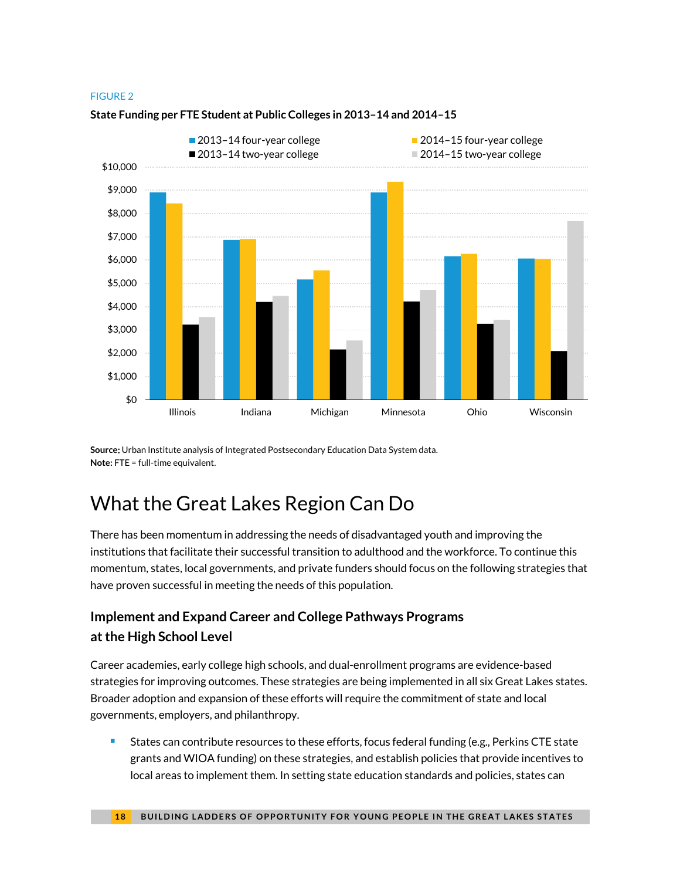#### FIGURE 2



#### **State Funding per FTE Student at Public Colleges in 2013–14 and 2014–15**

**Source**: Urban Institute analysis of Integrated Postsecondary Education Data System data. **Note:** FTE = full-time equivalent.

## What the Great Lakes Region Can Do

There has been momentum in addressing the needs of disadvantaged youth and improving the institutions that facilitate their successful transition to adulthood and the workforce. To continue this momentum, states, local governments, and private funders should focus on the following strategies that have proven successful in meeting the needs of this population.

## **Implement and Expand Career and College Pathways Programs at the High School Level**

Career academies, early college high schools, and dual-enrollment programs are evidence-based strategies for improving outcomes. These strategies are being implemented in all six Great Lakes states. Broader adoption and expansion of these efforts will require the commitment of state and local governments, employers, and philanthropy.

**States can contribute resources to these efforts, focus federal funding (e.g., Perkins CTE state** grants and WIOA funding) on these strategies, and establish policies that provide incentives to local areas to implement them. In setting state education standards and policies, states can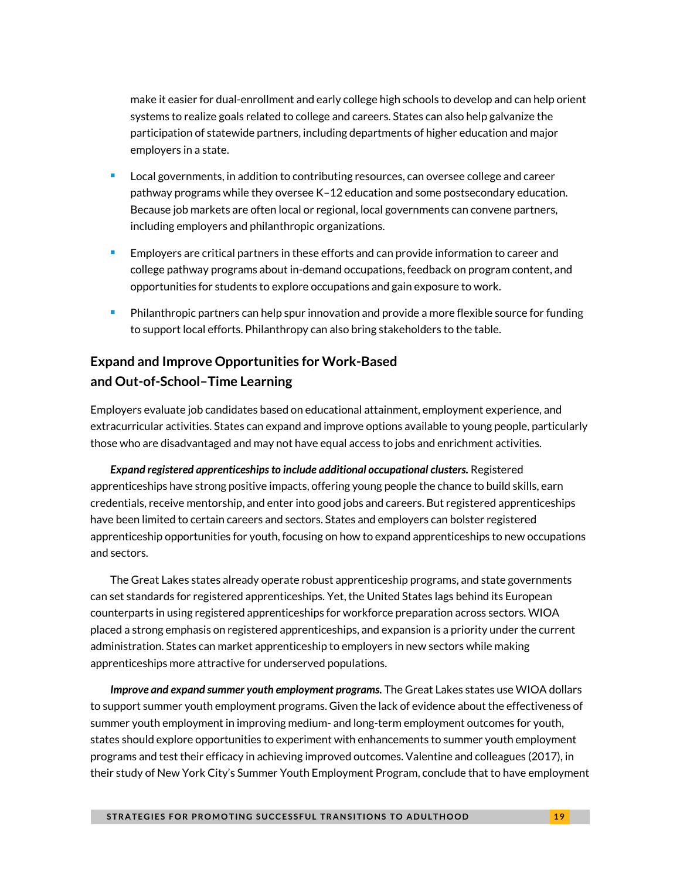make it easier for dual-enrollment and early college high schools to develop and can help orient systems to realize goals related to college and careers. States can also help galvanize the participation of statewide partners, including departments of higher education and major employers in a state.

- Local governments, in addition to contributing resources, can oversee college and career pathway programs while they oversee K–12 education and some postsecondary education. Because job markets are often local or regional, local governments can convene partners, including employers and philanthropic organizations.
- **Employers are critical partners in these efforts and can provide information to career and** college pathway programs about in-demand occupations, feedback on program content, and opportunities for students to explore occupations and gain exposure to work.
- **Philanthropic partners can help spur innovation and provide a more flexible source for funding** to support local efforts. Philanthropy can also bring stakeholders to the table.

## **Expand and Improve Opportunities for Work-Based and Out-of-School–Time Learning**

Employers evaluate job candidates based on educational attainment, employment experience, and extracurricular activities. States can expand and improve options available to young people, particularly those who are disadvantaged and may not have equal access to jobs and enrichment activities.

*Expand registered apprenticeshipsto include additional occupational clusters.* Registered apprenticeships have strong positive impacts, offering young people the chance to build skills, earn credentials, receive mentorship, and enter into good jobs and careers. But registered apprenticeships have been limited to certain careers and sectors. States and employers can bolster registered apprenticeship opportunities for youth, focusing on how to expand apprenticeships to new occupations and sectors.

The Great Lakes states already operate robust apprenticeship programs, and state governments can set standards for registered apprenticeships. Yet, the United States lags behind its European counterparts in using registered apprenticeships for workforce preparation across sectors. WIOA placed a strong emphasis on registered apprenticeships, and expansion is a priority under the current administration. States can market apprenticeship to employers in new sectors while making apprenticeships more attractive for underserved populations.

*Improve and expand summer youth employment programs.* The Great Lakes states use WIOA dollars to support summer youth employment programs. Given the lack of evidence about the effectiveness of summer youth employment in improving medium- and long-term employment outcomes for youth, states should explore opportunities to experiment with enhancements to summer youth employment programs and test their efficacy in achieving improved outcomes. Valentine and colleagues (2017), in their study of New York City's Summer Youth Employment Program, conclude that to have employment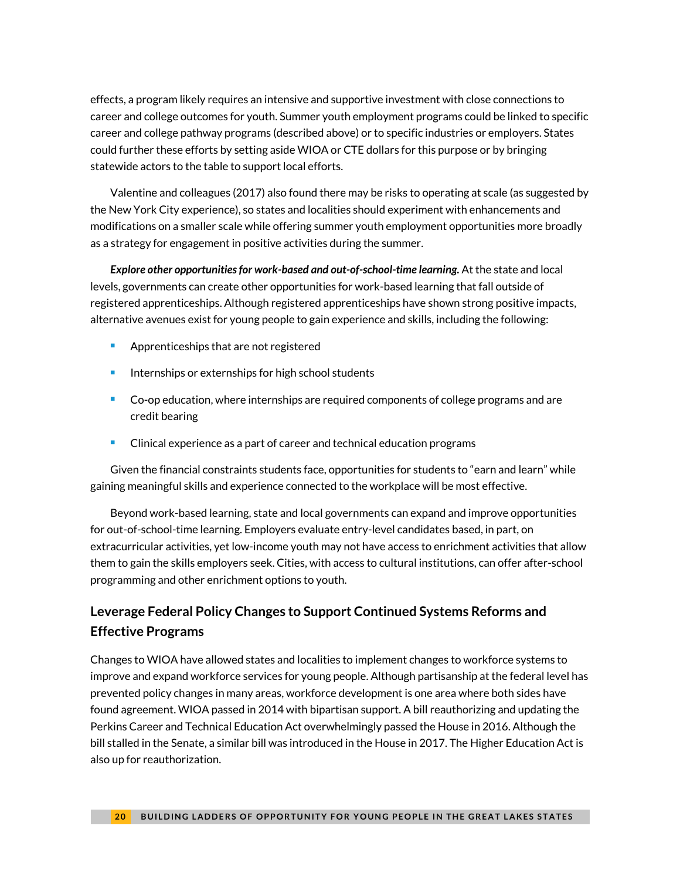effects, a program likely requires an intensive and supportive investment with close connections to career and college outcomes for youth. Summer youth employment programs could be linked to specific career and college pathway programs (described above) or to specific industries or employers. States could further these efforts by setting aside WIOA or CTE dollars for this purpose or by bringing statewide actors to the table to support local efforts.

Valentine and colleagues (2017) also found there may be risks to operating at scale (as suggested by the New York City experience), so states and localities should experiment with enhancements and modifications on a smaller scale while offering summer youth employment opportunities more broadly as a strategy for engagement in positive activities during the summer.

*Explore other opportunities for work-based and out-of-school-time learning.* At the state and local levels, governments can create other opportunities for work-based learning that fall outside of registered apprenticeships. Although registered apprenticeships have shown strong positive impacts, alternative avenues exist for young people to gain experience and skills, including the following:

- Apprenticeships that are not registered
- **Internships or externships for high school students**
- **Co-op education, where internships are required components of college programs and are** credit bearing
- **EXPLO EXECTED EXPERIENCE AS A PART OF CALCE AND FOLLO EXAMPLE ASSESS** Clinical experience as a part of career and technical education programs

Given the financial constraints students face, opportunities for students to "earn and learn" while gaining meaningful skills and experience connected to the workplace will be most effective.

Beyond work-based learning, state and local governments can expand and improve opportunities for out-of-school-time learning. Employers evaluate entry-level candidates based, in part, on extracurricular activities, yet low-income youth may not have access to enrichment activities that allow them to gain the skills employers seek. Cities, with access to cultural institutions, can offer after-school programming and other enrichment options to youth.

## **Leverage Federal Policy Changes to Support Continued Systems Reforms and Effective Programs**

Changes to WIOA have allowed states and localities to implement changes to workforce systems to improve and expand workforce services for young people. Although partisanship at the federal level has prevented policy changes in many areas, workforce development is one area where both sides have found agreement. WIOA passed in 2014 with bipartisan support. A bill reauthorizing and updating the Perkins Career and Technical Education Act overwhelmingly passed the House in 2016. Although the bill stalled in the Senate, a similar bill was introduced in the House in 2017. The Higher Education Act is also up for reauthorization.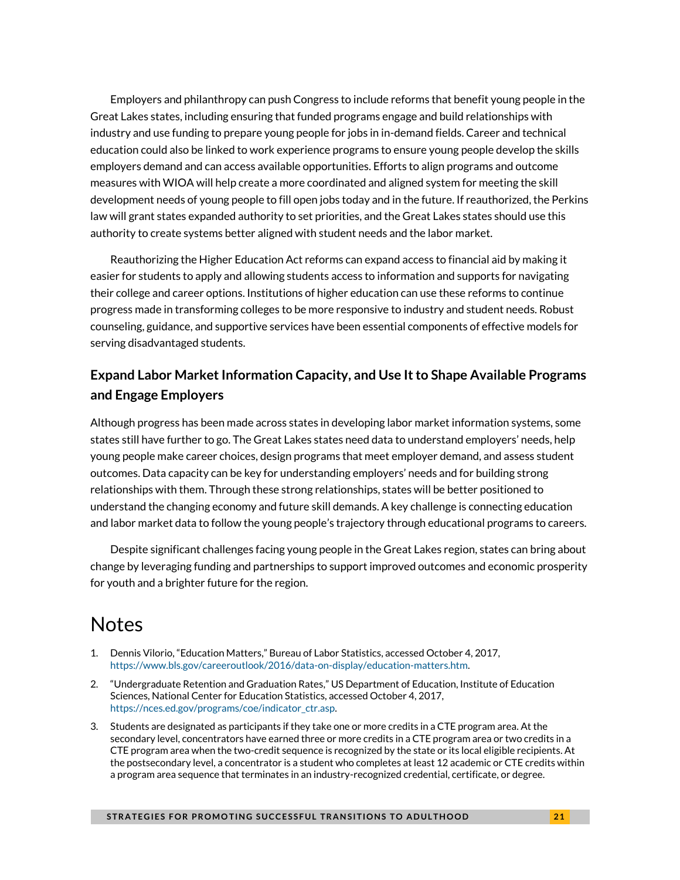Employers and philanthropy can push Congress to include reforms that benefit young people in the Great Lakes states, including ensuring that funded programs engage and build relationships with industry and use funding to prepare young people for jobs in in-demand fields. Career and technical education could also be linked to work experience programs to ensure young people develop the skills employers demand and can access available opportunities. Efforts to align programs and outcome measures with WIOA will help create a more coordinated and aligned system for meeting the skill development needs of young people to fill open jobs today and in the future. If reauthorized, the Perkins law will grant states expanded authority to set priorities, and the Great Lakes states should use this authority to create systems better aligned with student needs and the labor market.

Reauthorizing the Higher Education Act reforms can expand access to financial aid by making it easier for students to apply and allowing students access to information and supports for navigating their college and career options. Institutions of higher education can use these reforms to continue progress made in transforming colleges to be more responsive to industry and student needs. Robust counseling, guidance, and supportive services have been essential components of effective models for serving disadvantaged students.

## **Expand Labor Market Information Capacity, and Use It to Shape Available Programs and Engage Employers**

Although progress has been made across states in developing labor market information systems, some states still have further to go. The Great Lakes states need data to understand employers' needs, help young people make career choices, design programs that meet employer demand, and assess student outcomes. Data capacity can be key for understanding employers' needs and for building strong relationships with them. Through these strong relationships, states will be better positioned to understand the changing economy and future skill demands. A key challenge is connecting education and labor market data to follow the young people's trajectory through educational programs to careers.

Despite significant challenges facing young people in the Great Lakes region, states can bring about change by leveraging funding and partnerships to support improved outcomes and economic prosperity for youth and a brighter future for the region.

## **Notes**

- 1. Dennis Vilorio, "Education Matters," Bureau of Labor Statistics, accessed October 4, 2017, [https://www.bls.gov/careeroutlook/2016/data-on-display/education-matters.htm.](https://www.bls.gov/careeroutlook/2016/data-on-display/education-matters.htm)
- 2. "Undergraduate Retention and Graduation Rates," US Department of Education, Institute of Education Sciences, National Center for Education Statistics, accessed October 4, 2017, [https://nces.ed.gov/programs/coe/indicator\\_ctr.asp.](https://nces.ed.gov/programs/coe/indicator_ctr.asp)
- 3. Students are designated as participants if they take one or more credits in a CTE program area. At the secondary level, concentrators have earned three or more credits in a CTE program area or two credits in a CTE program area when the two-credit sequence is recognized by the state or its local eligible recipients. At the postsecondary level, a concentrator is a student who completes at least 12 academic or CTE credits within a program area sequence that terminates in an industry-recognized credential, certificate, or degree.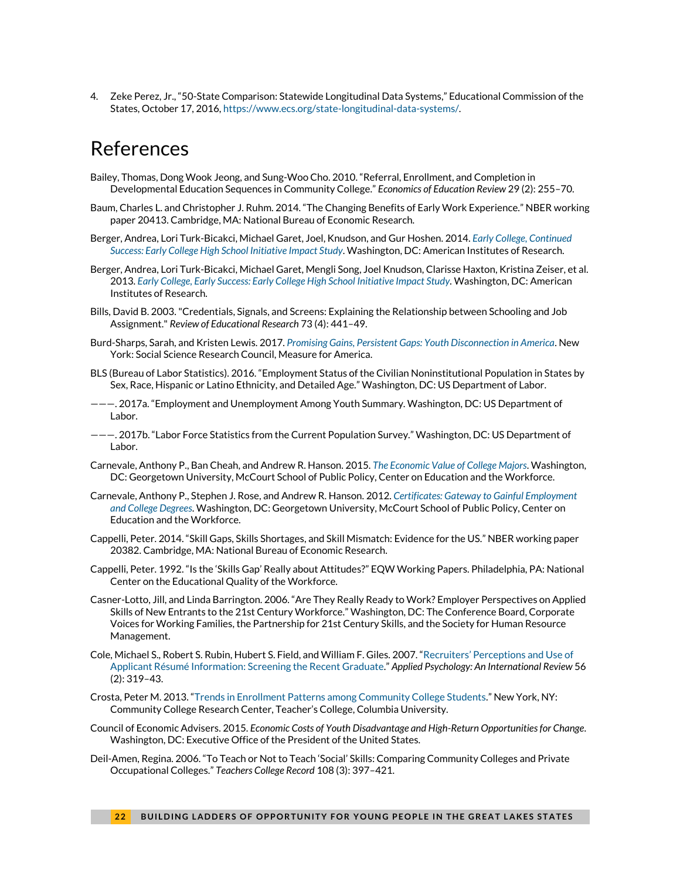4. Zeke Perez, Jr., "50-State Comparison: Statewide Longitudinal Data Systems," Educational Commission of the States, October 17, 2016[, https://www.ecs.org/state-longitudinal-data-systems/.](https://www.ecs.org/state-longitudinal-data-systems/)

## References

- Bailey, Thomas, Dong Wook Jeong, and Sung-Woo Cho. 2010. "Referral, Enrollment, and Completion in Developmental Education Sequences in Community College." *Economics of Education Review* 29 (2): 255–70.
- Baum, Charles L. and Christopher J. Ruhm. 2014. "The Changing Benefits of Early Work Experience." NBER working paper 20413. Cambridge, MA: National Bureau of Economic Research.
- Berger, Andrea, Lori Turk-Bicakci, Michael Garet, Joel, Knudson, and Gur Hoshen. 2014. *[Early College, Continued](http://www.air.org/sites/default/files/AIR_ECHSI_Impact_Study_Report-_NSC_Update_01-14-14.pdf)  [Success: Early College High School Initiative Impact Study](http://www.air.org/sites/default/files/AIR_ECHSI_Impact_Study_Report-_NSC_Update_01-14-14.pdf)*. Washington, DC: American Institutes of Research.
- Berger, Andrea, Lori Turk-Bicakci, Michael Garet, Mengli Song, Joel Knudson, Clarisse Haxton, Kristina Zeiser, et al. 2013. *[Early College, Early Success: Early College High School Initiative Impact Study.](http://www.air.org/sites/default/files/downloads/report/ECHSI_Impact_Study_Report_Final1_0.pdf)* Washington, DC: American Institutes of Research.
- Bills, David B. 2003. "Credentials, Signals, and Screens: Explaining the Relationship between Schooling and Job Assignment." *Review of Educational Research* 73 (4): 441–49.
- Burd-Sharps, Sarah, and Kristen Lewis. 2017. *[Promising Gains, Persistent Gaps: Youth Disconnection in America](https://ssrc-static.s3.amazonaws.com/moa/Promising%20Gains%20Final.pdf)*. New York: Social Science Research Council, Measure for America.
- BLS (Bureau of Labor Statistics). 2016. "Employment Status of the Civilian Noninstitutional Population in States by Sex, Race, Hispanic or Latino Ethnicity, and Detailed Age." Washington, DC: US Department of Labor.
- ———. 2017a. "Employment and Unemployment Among Youth Summary. Washington, DC: US Department of Labor.
- ———. 2017b. "Labor Force Statistics from the Current Population Survey." Washington, DC: US Department of Labor.
- Carnevale, Anthony P., Ban Cheah, and Andrew R. Hanson. 2015. *[The Economic Value of College Majors](https://cew-7632.kxcdn.com/wp-content/uploads/The-Economic-Value-of-College-Majors-Full-Report-web-FINAL.pdf)*. Washington, DC: Georgetown University, McCourt School of Public Policy, Center on Education and the Workforce.
- Carnevale, Anthony P., Stephen J. Rose, and Andrew R. Hanson. 2012. *[Certificates: Gateway to Gainful Employment](https://cew.georgetown.edu/wp-content/uploads/2014/11/Certificates.FullReport.061812.pdf)  [and College Degrees](https://cew.georgetown.edu/wp-content/uploads/2014/11/Certificates.FullReport.061812.pdf)*. Washington, DC: Georgetown University, McCourt School of Public Policy, Center on Education and the Workforce.
- Cappelli, Peter. 2014. "Skill Gaps, Skills Shortages, and Skill Mismatch: Evidence for the US." NBER working paper 20382. Cambridge, MA: National Bureau of Economic Research.
- Cappelli, Peter. 1992. "Is the 'Skills Gap' Really about Attitudes?" EQW Working Papers. Philadelphia, PA: National Center on the Educational Quality of the Workforce.
- Casner-Lotto, Jill, and Linda Barrington. 2006. "Are They Really Ready to Work? Employer Perspectives on Applied Skills of New Entrants to the 21st Century Workforce." Washington, DC: The Conference Board, Corporate Voices for Working Families, the Partnership for 21st Century Skills, and the Society for Human Resource Management.
- Cole, Michael S., Robert S. Rubin, Hubert S. Field, and William F. Giles. 2007. ["Recruiters' Perceptions and Use of](http://www.sbuweb.tcu.edu/mcole/docs/Cole%20et%20al.%202007.%20Screening%20Recent%20Applicant.%20APIR.pdf)  Applicant Résumé [Information: Screening the Recent Graduate](http://www.sbuweb.tcu.edu/mcole/docs/Cole%20et%20al.%202007.%20Screening%20Recent%20Applicant.%20APIR.pdf)." *Applied Psychology: An International Review* 56 (2): 319–43.
- Crosta, Peter M. 2013. "[Trends in Enrollment Patterns among Community College Students](https://ccrc.tc.columbia.edu/media/k2/attachments/trends-in-enrollment-patterns.pdf)." New York, NY: Community College Research Center, Teacher's College, Columbia University.
- Council of Economic Advisers. 2015. *Economic Costs of Youth Disadvantage and High-Return Opportunities for Change*. Washington, DC: Executive Office of the President of the United States.
- Deil-Amen, Regina. 2006. "To Teach or Not to Teach 'Social' Skills: Comparing Community Colleges and Private Occupational Colleges." *Teachers College Record* 108 (3): 397–421.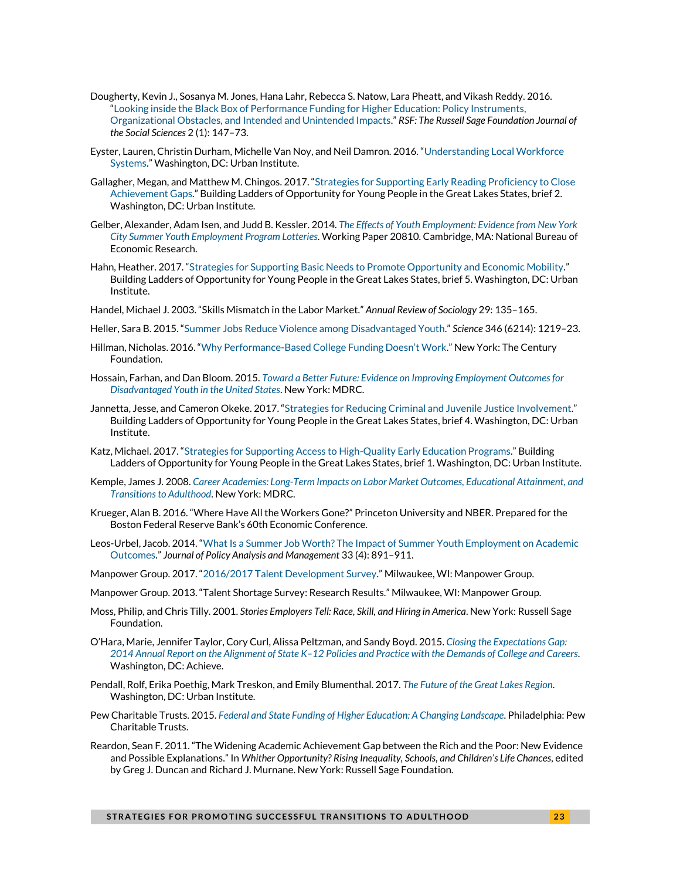- Dougherty, Kevin J., Sosanya M. Jones, Hana Lahr, Rebecca S. Natow, Lara Pheatt, and Vikash Reddy. 2016. "[Looking inside the Black Box of Performance Funding for Higher Education: Policy Instruments,](http://www.rsfjournal.org/doi/full/10.7758/RSF.2016.2.1.07)  [Organizational Obstacles, and Intended and Unintended Impacts.](http://www.rsfjournal.org/doi/full/10.7758/RSF.2016.2.1.07)" *RSF: The Russell Sage Foundation Journal of the Social Sciences* 2 (1): 147–73.
- Eyster, Lauren, Christin Durham, Michelle Van Noy, and Neil Damron. 2016. "[Understanding Local Workforce](https://www.urban.org/research/publication/understanding-local-workforce-systems)  [Systems](https://www.urban.org/research/publication/understanding-local-workforce-systems)." Washington, DC: Urban Institute.
- Gallagher, Megan, and Matthew M. Chingos. 2017. "[Strategies for Supporting Early Reading Proficiency to Close](https://www.urban.org/research/publication/strategies-supporting-early-reading-proficiency-close-achievement-gaps)  [Achievement Gaps](https://www.urban.org/research/publication/strategies-supporting-early-reading-proficiency-close-achievement-gaps)." Building Ladders of Opportunity for Young People in the Great Lakes States, brief 2. Washington, DC: Urban Institute.
- Gelber, Alexander, Adam Isen, and Judd B. Kessler. 2014. *[The Effects of Youth Employment: Evidence from New York](http://www.nber.org/papers/w20810)  [City Summer Youth Employment Program Lotteries.](http://www.nber.org/papers/w20810)* Working Paper 20810. Cambridge, MA: National Bureau of Economic Research.
- Hahn, Heather. 2017. "[Strategies for Supporting Basic Needs to Promote Opportunity and Economic Mobility](https://www.urban.org/research/publication/strategies-supporting-basic-needs-promote-opportunity-and-economic-mobility)." Building Ladders of Opportunity for Young People in the Great Lakes States, brief 5. Washington, DC: Urban Institute.
- Handel, Michael J. 2003. "Skills Mismatch in the Labor Market." *Annual Review of Sociology* 29: 135–165.
- Heller, Sara B. 2015. "[Summer Jobs Reduce Violence among Disadvantaged Youth](http://www.phila.gov/bestpractices/PDF/Science-2014-Heller-1219-23.pdf)." *Science* 346 (6214): 1219–23.
- Hillman, Nicholas. 2016. "Why Performance-[Based College Funding Doesn't Work.](https://tcf.org/content/report/why-performance-based-college-funding-doesnt-work/)" New York: The Century Foundation.
- Hossain, Farhan, and Dan Bloom. 2015. *[Toward a Better Future: Evidence on Improving Employment Outcomes for](https://www.mdrc.org/sites/default/files/Toward_Better_Future.pdf)  [Disadvantaged Youth in the United States](https://www.mdrc.org/sites/default/files/Toward_Better_Future.pdf)*. New York: MDRC.
- Jannetta, Jesse, and Cameron Okeke. 2017. "[Strategies for Reducing Criminal and Juvenile Justice Involvement](https://www.urban.org/research/publication/strategies-reducing-criminal-and-juvenile-justice-involvement)." Building Ladders of Opportunity for Young People in the Great Lakes States, brief 4. Washington, DC: Urban Institute.
- Katz, Michael. 2017. "[Strategies for Supporting Access to High-Quality Early Education Programs](https://www.urban.org/research/publication/strategies-supporting-access-high-quality-early-education-programs)." Building Ladders of Opportunity for Young People in the Great Lakes States, brief 1. Washington, DC: Urban Institute.
- Kemple, James J. 2008. *[Career Academies: Long-Term Impacts on Labor Market Outcomes, Educational Attainment,](https://www.mdrc.org/publication/career-academies-long-term-impacts-work-education-and-transitions-adulthood) and [Transitions to Adulthood](https://www.mdrc.org/publication/career-academies-long-term-impacts-work-education-and-transitions-adulthood)*. New York: MDRC.
- Krueger, Alan B. 2016. "Where Have All the Workers Gone?" Princeton University and NBER. Prepared for the Boston Federal Reserve Bank's 60th Economic Conference.
- Leos-Urbel, Jacob. 2014. "[What Is a Summer Job Worth? The Impact of Summer Youth Employment on Academic](http://onlinelibrary.wiley.com/doi/10.1002/pam.21780/abstract)  [Outcomes.](http://onlinelibrary.wiley.com/doi/10.1002/pam.21780/abstract)" *Journal of Policy Analysis and Management* 33 (4): 891–911.
- Manpower Group. 2017. "[2016/2017 Talent Development Survey](http://www.manpowergroup.com/wps/wcm/connect/389b7a9d-cfe2-4b22-bd61-f0febc709cd6/2016_TSS_Global_Infographic+-+Final.pdf?MOD=AJPERES)." Milwaukee, WI: Manpower Group.
- Manpower Group. 2013. "Talent Shortage Survey: Research Results." Milwaukee, WI: Manpower Group.
- Moss, Philip, and Chris Tilly. 2001. *Stories Employers Tell: Race, Skill, and Hiring in America*. New York: Russell Sage Foundation.
- O'Hara, Marie, Jennifer Taylor, Cory Curl, Alissa Peltzman, and Sandy Boyd. 2015. *[Closing the Expectations Gap:](http://www.achieve.org/publications/closing-expectations-gap-2014) 2014 Annual Report on the Alignment of State K–[12 Policies and Practice with the Demands of College and Careers](http://www.achieve.org/publications/closing-expectations-gap-2014)*. Washington, DC: Achieve.
- Pendall, Rolf, Erika Poethig, Mark Treskon, and Emily Blumenthal. 2017. *[The Future of the Great Lakes Region](https://www.urban.org/research/publication/future-great-lakes-region)*. Washington, DC: Urban Institute.
- Pew Charitable Trusts. 2015. *[Federal and State Funding of Higher Education: A Changing Landscape](http://www.pewtrusts.org/~/media/assets/2015/06/federal_state_funding_higher_education_final.pdf)*. Philadelphia: Pew Charitable Trusts.
- Reardon, Sean F. 2011. "The Widening Academic Achievement Gap between the Rich and the Poor: New Evidence and Possible Explanations." In *Whither Opportunity? Rising Inequality, Schools, and Children's Life Chances,* edited by Greg J. Duncan and Richard J. Murnane. New York: Russell Sage Foundation.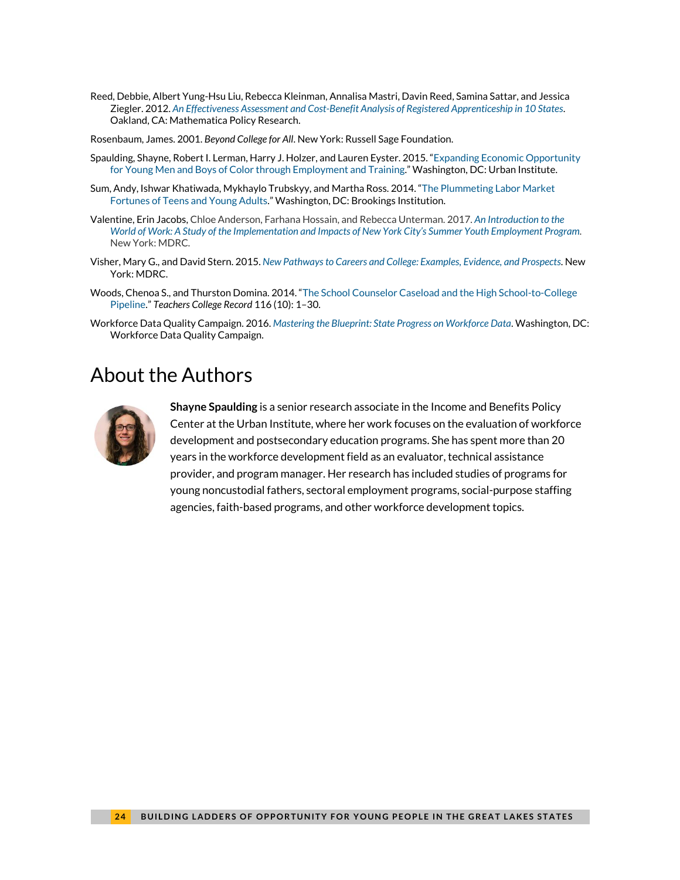- Reed, Debbie, Albert Yung-Hsu Liu, Rebecca Kleinman, Annalisa Mastri, Davin Reed, Samina Sattar, and Jessica Ziegler. 2012. *[An Effectiveness Assessment and Cost-Benefit Analysis of Registered Apprenticeship in 10 States](https://wdr.doleta.gov/research/fulltext_documents/etaop_2012_10.pdf)*. Oakland, CA: Mathematica Policy Research.
- Rosenbaum, James. 2001. *Beyond College for All*. New York: Russell Sage Foundation.
- Spaulding, Shayne, Robert I. Lerman, Harry J. Holzer, and Lauren Eyster. 2015. "[Expanding Economic Opportunity](https://www.urban.org/research/publication/expanding-economic-opportunity-young-men-and-boys-color-through-employment-and-training)  [for Young Men and Boys of Color through Employment and Training](https://www.urban.org/research/publication/expanding-economic-opportunity-young-men-and-boys-color-through-employment-and-training)." Washington, DC: Urban Institute.
- Sum, Andy, Ishwar Khatiwada, Mykhaylo Trubskyy, and Martha Ross. 2014. "[The Plummeting Labor Market](https://www.brookings.edu/wp-content/uploads/2014/03/Youth_Workforce_Report_FINAL.pdf)  [Fortunes of Teens and Young Adults](https://www.brookings.edu/wp-content/uploads/2014/03/Youth_Workforce_Report_FINAL.pdf)." Washington, DC: Brookings Institution.
- Valentine, Erin Jacobs[, Chloe Anderson,](http://www.mdrc.org/about/chloe-anderson) [Farhana Hossain,](http://www.mdrc.org/about/farhana-hossain) an[d Rebecca Unterman.](http://www.mdrc.org/about/rebecca-unterman) 2017. *[An Introduction to the](https://www.dol.gov/asp/evaluation/completed-studies/SYEP-Full-Report.pdf)  World of Work: [A Study of the Implementation and Impacts of New York City's](https://www.dol.gov/asp/evaluation/completed-studies/SYEP-Full-Report.pdf) Summer Youth Employment Program.* New York: MDRC*.*
- Visher, Mary G., and David Stern. 2015. *New [Pathways to Careers and College: Examples,](https://www.mdrc.org/sites/default/files/New_Pathways.pdf) Evidence, and Prospects*. New York: MDRC.
- Woods, Chenoa S., and Thurston Domina. 2014. "The School [Counselor Caseload and the High School-to-College](https://assets.documentcloud.org/documents/1506543/the-school-counselor-case-load-and-high-school.pdf)  [Pipeline](https://assets.documentcloud.org/documents/1506543/the-school-counselor-case-load-and-high-school.pdf)." *Teachers College Record* 116 (10): 1–30.
- Workforce Data Quality Campaign. 2016. *[Mastering the Blueprint: State Progress on Workforce Data](http://www.workforcedqc.org/sites/default/files/images/12.2%20NSC%20WD%20Blueprint%202016%20FINAL.pdf)*. Washington, DC: Workforce Data Quality Campaign.

## About the Authors



**Shayne Spaulding** is a senior research associate in the Income and Benefits Policy Center at the Urban Institute, where her work focuses on the evaluation of workforce development and postsecondary education programs. She has spent more than 20 years in the workforce development field as an evaluator, technical assistance provider, and program manager. Her research has included studies of programs for young noncustodial fathers, sectoral employment programs, social-purpose staffing agencies, faith-based programs, and other workforce development topics.